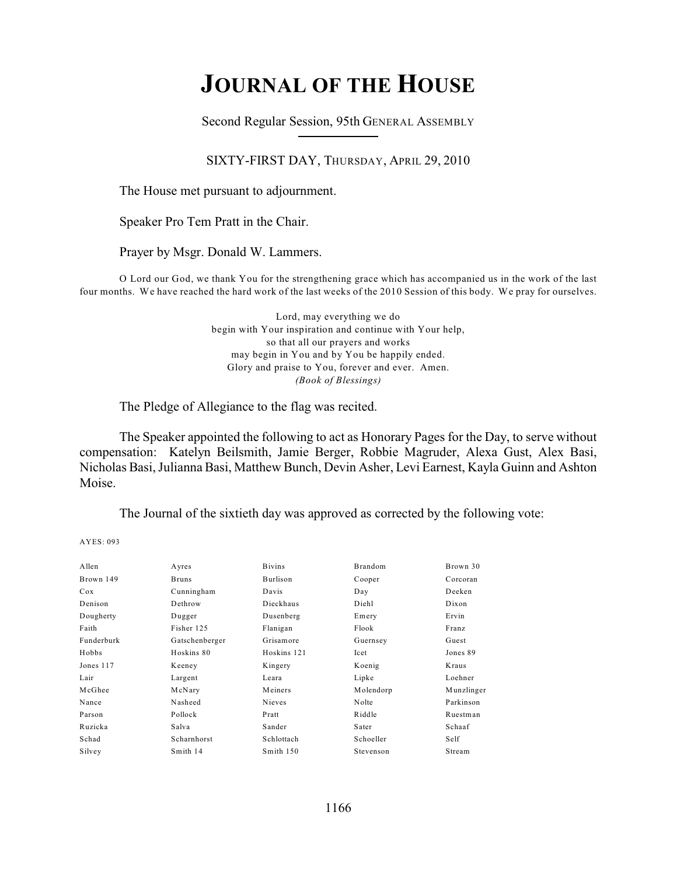# **JOURNAL OF THE HOUSE**

Second Regular Session, 95th GENERAL ASSEMBLY

SIXTY-FIRST DAY, THURSDAY, APRIL 29, 2010

The House met pursuant to adjournment.

Speaker Pro Tem Pratt in the Chair.

Prayer by Msgr. Donald W. Lammers.

O Lord our God, we thank You for the strengthening grace which has accompanied us in the work of the last four months. We have reached the hard work of the last weeks of the 2010 Session of this body. We pray for ourselves.

> Lord, may everything we do begin with Your inspiration and continue with Your help, so that all our prayers and works may begin in You and by You be happily ended. Glory and praise to You, forever and ever. Amen. *(Book of Blessings)*

The Pledge of Allegiance to the flag was recited.

The Speaker appointed the following to act as Honorary Pages for the Day, to serve without compensation: Katelyn Beilsmith, Jamie Berger, Robbie Magruder, Alexa Gust, Alex Basi, Nicholas Basi, Julianna Basi, Matthew Bunch, Devin Asher, Levi Earnest, Kayla Guinn and Ashton Moise.

The Journal of the sixtieth day was approved as corrected by the following vote:

| Allen      | Ayres          | <b>Bivins</b> | Brandom   | Brown 30   |
|------------|----------------|---------------|-----------|------------|
| Brown 149  | <b>Bruns</b>   | Burlison      | Cooper    | Corcoran   |
| Cox        | Cunningham     | Davis         | Day       | Deeken     |
| Denison    | Dethrow        | Dieckhaus     | Diehl     | Dixon      |
| Dougherty  | Dugger         | Dusenberg     | Emery     | Ervin      |
| Faith      | Fisher 125     | Flanigan      | Flook     | Franz      |
| Funderburk | Gatschenberger | Grisamore     | Guernsey  | Guest      |
| Hobbs      | Hoskins 80     | Hoskins 121   | Icet      | Jones 89   |
| Jones 117  | Keeney         | Kingery       | Koenig    | Kraus      |
| Lair       | Largent        | Leara         | Lipke     | Loehner    |
| McGhee     | McNary         | Meiners       | Molendorp | Munzlinger |
| Nance      | Nasheed        | Nieves        | Nolte     | Parkinson  |
| Parson     | Pollock        | Pratt         | Riddle    | Ruestman   |
| Ruzicka    | Salva          | Sander        | Sater     | Schaaf     |
| Schad      | Scharnhorst    | Schlottach    | Schoeller | Self       |
| Silvey     | Smith 14       | Smith 150     | Stevenson | Stream     |
|            |                |               |           |            |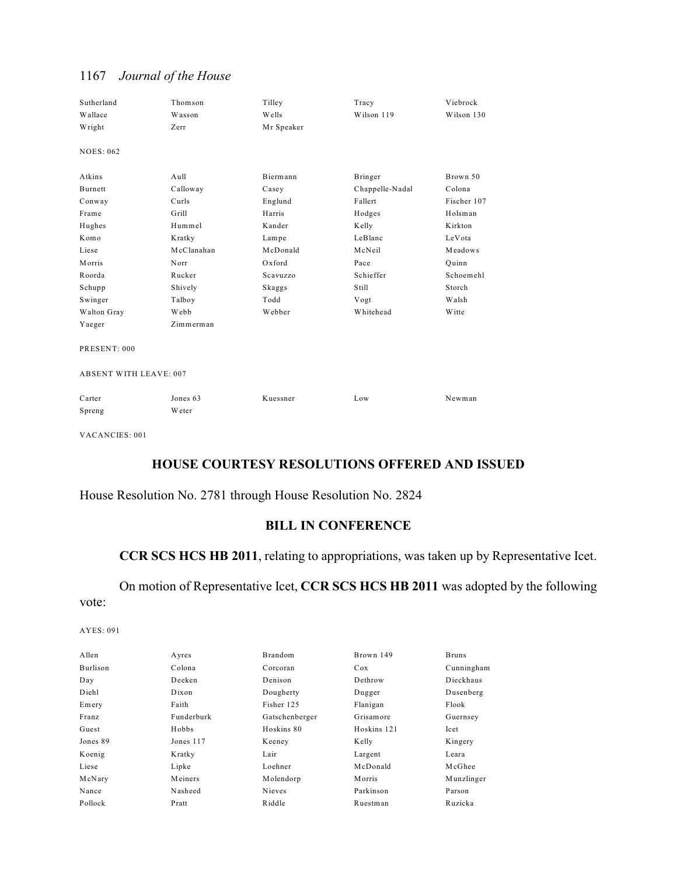| Sutherland                    | Thomson    | Tilley     | Tracy           | Viebrock    |
|-------------------------------|------------|------------|-----------------|-------------|
| Wallace                       | Wasson     | Wells      | Wilson 119      | Wilson 130  |
| Wright                        | Zerr       | Mr Speaker |                 |             |
| <b>NOES: 062</b>              |            |            |                 |             |
|                               |            |            |                 |             |
| Atkins                        | Aull       | Biermann   | Bringer         | Brown 50    |
| Burnett                       | Calloway   | Casey      | Chappelle-Nadal | Colona      |
| Conway                        | Curls      | Englund    | Fallert         | Fischer 107 |
| Frame                         | Grill      | Harris     | Hodges          | Holsman     |
| Hughes                        | Hummel     | Kander     | Kelly           | Kirkton     |
| Komo                          | Kratky     | Lampe      | LeBlanc         | LeVota      |
| Liese                         | McClanahan | McDonald   | McNeil          | Meadows     |
| Morris                        | Norr       | Oxford     | Pace            | Ouinn       |
| Roorda                        | Rucker     | Scavuzzo   | Schieffer       | Schoemehl   |
| Schupp                        | Shively    | Skaggs     | Still           | Storch      |
| Swinger                       | Talboy     | Todd       | Vogt            | Walsh       |
| Walton Gray                   | Webb       | Webber     | Whitehead       | W itte      |
| Yaeger                        | Zimmerman  |            |                 |             |
| PRESENT: 000                  |            |            |                 |             |
|                               |            |            |                 |             |
| <b>ABSENT WITH LEAVE: 007</b> |            |            |                 |             |
|                               |            |            |                 |             |
| Carter                        | Jones 63   | Kuessner   | Low             | Newman      |
| Spreng                        | Weter      |            |                 |             |

VACANCIES: 001

## **HOUSE COURTESY RESOLUTIONS OFFERED AND ISSUED**

## House Resolution No. 2781 through House Resolution No. 2824

## **BILL IN CONFERENCE**

## **CCR SCS HCS HB 2011**, relating to appropriations, was taken up by Representative Icet.

## On motion of Representative Icet, **CCR SCS HCS HB 2011** was adopted by the following vote:

| A llen          | Ayres      | <b>Brandom</b> | Brown 149   | <b>Bruns</b> |
|-----------------|------------|----------------|-------------|--------------|
| <b>Burlison</b> | Colona     | Corcoran       | Cox         | Cunningham   |
| Day             | Deeken     | Denison        | Dethrow     | Dieckhaus    |
| Diehl           | Dixon      | Dougherty      | Dugger      | Dusenberg    |
| Emery           | Faith      | Fisher 125     | Flanigan    | Flook        |
| Franz           | Funderburk | Gatschenberger | Grisamore   | Guernsey     |
| Guest           | Hobbs      | Hoskins 80     | Hoskins 121 | Icet         |
| Jones 89        | Jones 117  | Keeney         | Kelly       | Kingery      |
| Koenig          | Kratky     | Lair           | Largent     | Leara        |
| Liese           | Lipke      | Loehner        | McDonald    | McGhee       |
| McNary          | Meiners    | Molendorp      | Morris      | Munzlinger   |
| Nance           | Nasheed    | <b>Nieves</b>  | Parkinson   | Parson       |
| Pollock         | Pratt      | Riddle         | Ruestman    | Ruzicka      |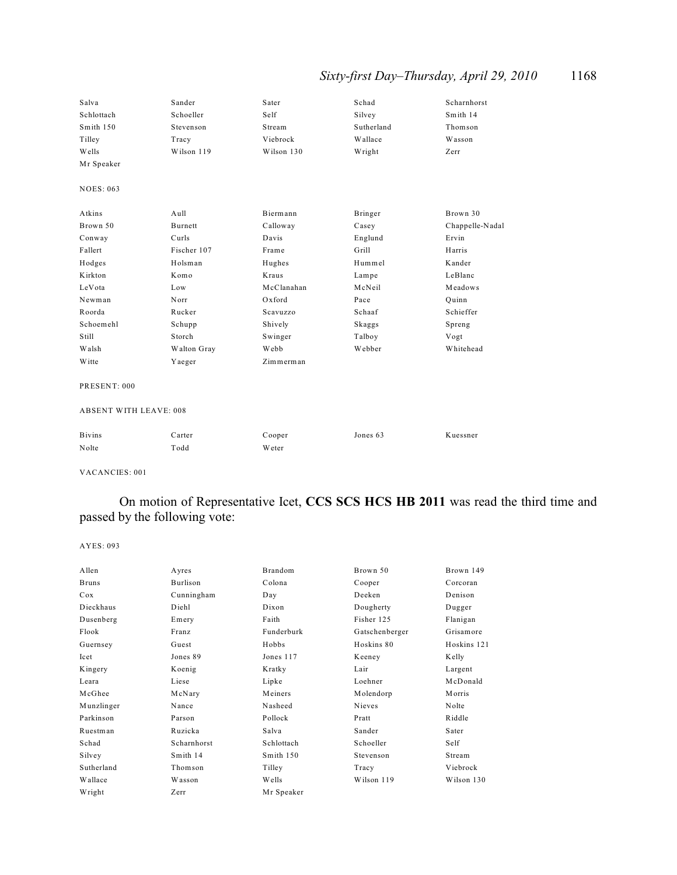## *Sixty-first Day–Thursday, April 29, 2010* 1168

| Salva                         | Sander      | Sater      | Schad      | Scharnhorst     |
|-------------------------------|-------------|------------|------------|-----------------|
| Schlottach                    | Schoeller   | Self       | Silvey     | Smith 14        |
| Smith 150                     | Stevenson   | Stream     | Sutherland | Thomson         |
| Tilley                        | Tracy       | Viebrock   | Wallace    | Wasson          |
| Wells                         | Wilson 119  | Wilson 130 | Wright     | Zerr            |
| Mr Speaker                    |             |            |            |                 |
| <b>NOES: 063</b>              |             |            |            |                 |
| Atkins                        | $A$ ull     | Biermann   | Bringer    | Brown 30        |
| Brown 50                      | Burnett     | Calloway   | Casey      | Chappelle-Nadal |
| Conway                        | Curls       | Davis      | Englund    | Ervin           |
| Fallert                       | Fischer 107 | Frame      | Grill      | Harris          |
| Hodges                        | Holsman     | Hughes     | Hummel     | Kander          |
| Kirkton                       | Komo        | Kraus      | Lampe      | LeBlanc         |
| LeVota                        | Low         | McClanahan | McNeil     | Meadows         |
| Newman                        | Norr        | Oxford     | Pace       | Quinn           |
| Roorda                        | Rucker      | Scavuzzo   | Schaaf     | Schieffer       |
| Schoemehl                     | Schupp      | Shively    | Skaggs     | Spreng          |
| Still                         | Storch      | Swinger    | Talboy     | Vogt            |
| Walsh                         | Walton Gray | Webb       | Webber     | Whitehead       |
| Witte                         | Yaeger      | Zimmerman  |            |                 |
| PRESENT: 000                  |             |            |            |                 |
| <b>ABSENT WITH LEAVE: 008</b> |             |            |            |                 |
| <b>Bivins</b>                 | Carter      | Cooper     | Jones 63   | Kuessner        |
| Nolte                         | Todd        | Weter      |            |                 |

VACANCIES: 001

## On motion of Representative Icet, **CCS SCS HCS HB 2011** was read the third time and passed by the following vote:

| Allen        | Ayres       | <b>Brandom</b> | Brown 50       | Brown 149     |
|--------------|-------------|----------------|----------------|---------------|
| <b>Bruns</b> | Burlison    | Colona         | Cooper         | Corcoran      |
| Cox          | Cunningham  | Day            | Deeken         | Denison       |
| Dieckhaus    | Diehl       | Dixon          | Dougherty      | Dugger        |
| Dusenberg    | Emery       | Faith          | Fisher 125     | Flanigan      |
| Flook        | Franz       | Funderburk     | Gatschenberger | Grisamore     |
| Guernsey     | Guest       | Hobbs          | Hoskins 80     | Hoskins 121   |
| Icet         | Jones 89    | Jones 117      | Keeney         | Kelly         |
| Kingery      | Koenig      | Kratky         | Lair           | Largent       |
| Leara        | Liese       | Lipke          | Loehner        | McDonald      |
| McGhee       | McNary      | Meiners        | Molendorp      | <b>Morris</b> |
| Munzlinger   | Nance       | Nasheed        | Nieves         | Nolte         |
| Parkinson    | Parson      | Pollock        | Pratt          | Riddle        |
| Ruestman     | Ruzicka     | Salva          | Sander         | Sater         |
| Schad        | Scharnhorst | Schlottach     | Schoeller      | Self          |
| Silvey       | Smith 14    | Smith 150      | Stevenson      | Stream        |
| Sutherland   | Thomson     | Tilley         | Tracy          | Viebrock      |
| Wallace      | Wasson      | Wells          | Wilson 119     | Wilson 130    |
| Wright       | Zerr        | Mr Speaker     |                |               |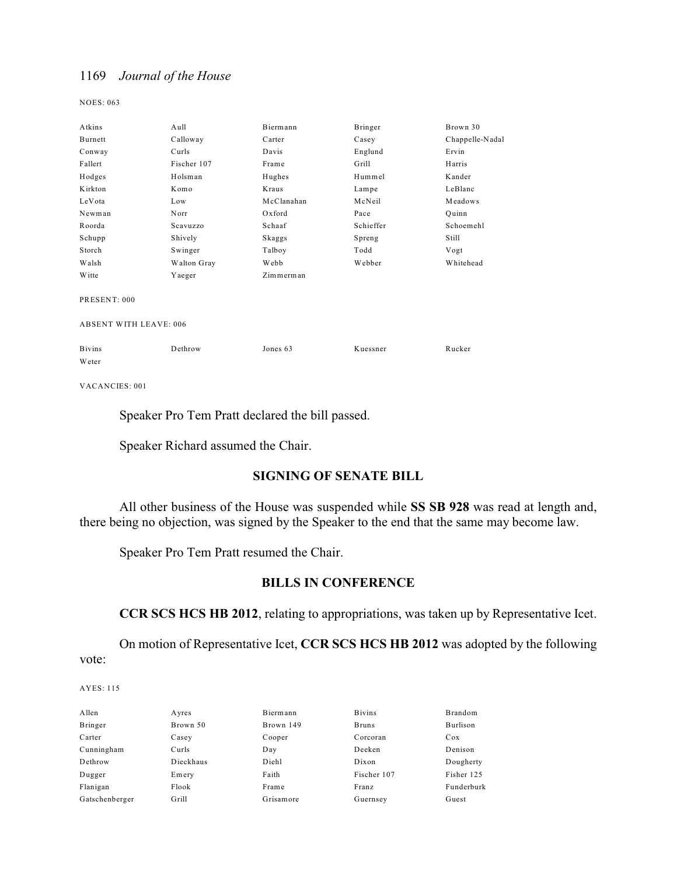NOES: 063

| Atkins                        | Aull        | Biermann   | Bringer   | Brown 30        |
|-------------------------------|-------------|------------|-----------|-----------------|
| Burnett                       | Calloway    | Carter     | Casey     | Chappelle-Nadal |
| Conway                        | Curls       | Davis      | Englund   | Ervin           |
| Fallert                       | Fischer 107 | Frame      | Grill     | Harris          |
| Hodges                        | Holsman     | Hughes     | Hummel    | Kander          |
| Kirkton                       | Komo        | Kraus      | Lampe     | LeBlanc         |
| LeVota                        | Low         | McClanahan | McNeil    | Meadows         |
| Newman                        | Norr        | Oxford     | Pace      | Quinn           |
| Roorda                        | Scavuzzo    | Schaaf     | Schieffer | Schoemehl       |
| Schupp                        | Shively     | Skaggs     | Spreng    | Still           |
| Storch                        | Swinger     | Talboy     | Todd      | Vogt            |
| Walsh                         | Walton Gray | Webb       | Webber    | Whitehead       |
| <b>W</b> itte                 | Yaeger      | Zimmerman  |           |                 |
|                               |             |            |           |                 |
| PRESENT: 000                  |             |            |           |                 |
|                               |             |            |           |                 |
| <b>ABSENT WITH LEAVE: 006</b> |             |            |           |                 |
|                               |             |            |           |                 |
| <b>Bivins</b>                 | Dethrow     | Jones 63   | Kuessner  | Rucker          |
| Weter                         |             |            |           |                 |
|                               |             |            |           |                 |

VACANCIES: 001

Speaker Pro Tem Pratt declared the bill passed.

Speaker Richard assumed the Chair.

### **SIGNING OF SENATE BILL**

All other business of the House was suspended while **SS SB 928** was read at length and, there being no objection, was signed by the Speaker to the end that the same may become law.

Speaker Pro Tem Pratt resumed the Chair.

## **BILLS IN CONFERENCE**

**CCR SCS HCS HB 2012**, relating to appropriations, was taken up by Representative Icet.

On motion of Representative Icet, **CCR SCS HCS HB 2012** was adopted by the following vote:

| Allen          | Ayres     | Biermann  | <b>Bivins</b> | <b>Brandom</b> |
|----------------|-----------|-----------|---------------|----------------|
| Bringer        | Brown 50  | Brown 149 | <b>Bruns</b>  | Burlison       |
| Carter         | Casey     | Cooper    | Corcoran      | Cox            |
| Cunningham     | Curls     | Day       | Deeken        | Denison        |
| Dethrow        | Dieckhaus | Diehl     | Dixon         | Dougherty      |
| Dugger         | Emery     | Faith     | Fischer 107   | Fisher 125     |
| Flanigan       | Flook     | Frame     | Franz         | Funderburk     |
| Gatschenberger | Grill     | Grisamore | Guernsey      | Guest          |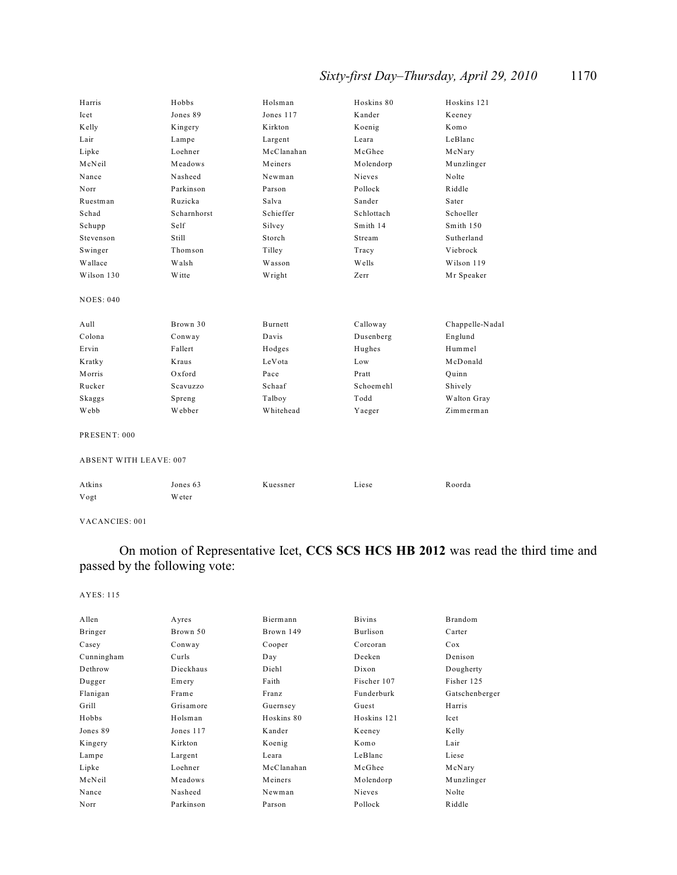## *Sixty-first Day–Thursday, April 29, 2010* 1170

| Harris                        | Hobbs       | Holsman    | Hoskins 80 | Hoskins 121     |
|-------------------------------|-------------|------------|------------|-----------------|
| Icet                          | Jones 89    | Jones 117  | Kander     | Keeney          |
| Kelly                         | Kingery     | Kirkton    | Koenig     | Komo            |
| Lair                          | Lampe       | Largent    | Leara      | LeBlanc         |
| Lipke                         | Loehner     | McClanahan | McGhee     | McNary          |
| McNeil                        | Meadows     | Meiners    | Molendorp  | Munzlinger      |
| Nance                         | Nasheed     | Newman     | Nieves     | Nolte           |
| Norr                          | Parkinson   | Parson     | Pollock    | Riddle          |
| Ruestman                      | Ruzicka     | Salva      | Sander     | Sater           |
| Schad                         | Scharnhorst | Schieffer  | Schlottach | Schoeller       |
| Schupp                        | Self        | Silvey     | Smith 14   | Smith 150       |
| Stevenson                     | Still       | Storch     | Stream     | Sutherland      |
| Swinger                       | Thomson     | Tilley     | Tracy      | Viebrock        |
| Wallace                       | Walsh       | Wasson     | Wells      | Wilson 119      |
| Wilson 130                    | Witte       | Wright     | Zerr       | Mr Speaker      |
| <b>NOES: 040</b>              |             |            |            |                 |
| Aull                          | Brown 30    | Burnett    | Calloway   | Chappelle-Nadal |
| Colona                        | Conway      | Davis      | Dusenberg  | Englund         |
| Ervin                         | Fallert     | Hodges     | Hughes     | Hummel          |
| Kratky                        | Kraus       | LeVota     | Low        | McDonald        |
| Morris                        | $Ox$ ford   | Pace       | Pratt      | Quinn           |
| Rucker                        | Scavuzzo    | Schaaf     | Schoemehl  | Shively         |
| Skaggs                        | Spreng      | Talboy     | Todd       | Walton Gray     |
| Webb                          | Webber      | Whitehead  | Yaeger     | Zimmerman       |
| PRESENT: 000                  |             |            |            |                 |
| <b>ABSENT WITH LEAVE: 007</b> |             |            |            |                 |
| Atkins                        | Jones 63    | Kuessner   | Liese      | Roorda          |
| Vogt                          | Weter       |            |            |                 |

VACANCIES: 001

On motion of Representative Icet, **CCS SCS HCS HB 2012** was read the third time and passed by the following vote:

| Allen      | Ayres     | Biermann   | <b>Bivins</b> | Brandom        |
|------------|-----------|------------|---------------|----------------|
| Bringer    | Brown 50  | Brown 149  | Burlison      | Carter         |
| Casey      | Conway    | Cooper     | Corcoran      | Cox            |
| Cunningham | Curls     | Day        | Deeken        | Denison        |
| Dethrow    | Dieckhaus | Diehl      | Dixon         | Dougherty      |
| Dugger     | Emery     | Faith      | Fischer 107   | Fisher 125     |
| Flanigan   | Frame     | Franz      | Funderburk    | Gatschenberger |
| Grill      | Grisamore | Guernsey   | Guest         | Harris         |
| Hobbs      | Holsman   | Hoskins 80 | Hoskins 121   | Icet           |
| Jones 89   | Jones 117 | Kander     | Keeney        | Kelly          |
| Kingery    | Kirkton   | Koenig     | Komo          | Lair           |
| Lampe      | Largent   | Leara      | LeBlanc       | Liese          |
| Lipke      | Loehner   | McClanahan | McGhee        | McNary         |
| McNeil     | Meadows   | Meiners    | Molendorp     | Munzlinger     |
| Nance      | Nasheed   | Newman     | Nieves        | Nolte          |
| Norr       | Parkinson | Parson     | Pollock       | Riddle         |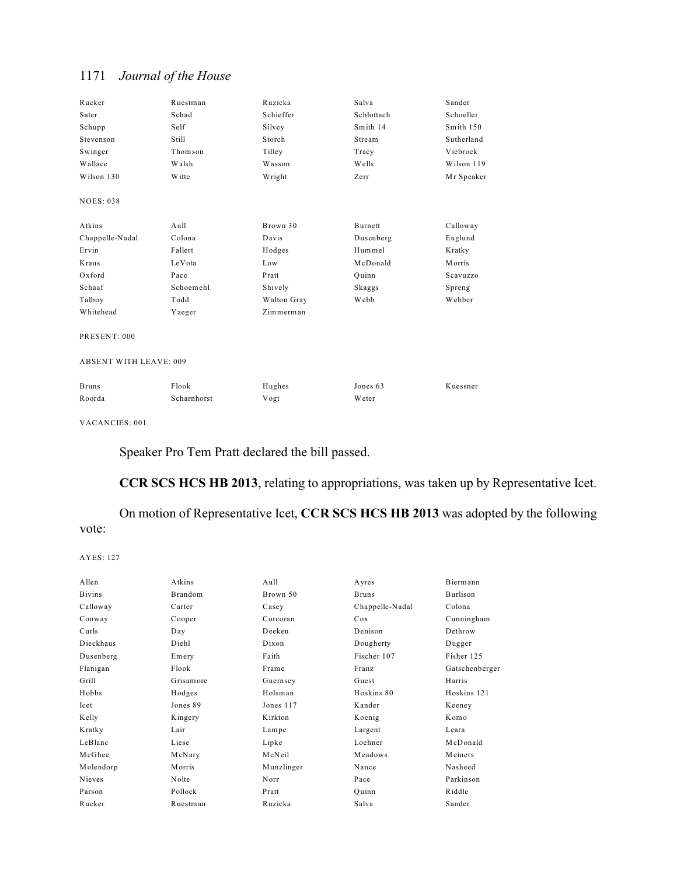| Rucker                        | Ruestman    | Ruzicka     | Salva         | Sander     |
|-------------------------------|-------------|-------------|---------------|------------|
| Sater                         | Schad       | Schieffer   | Schlottach    | Schoeller  |
| Schupp                        | Self        | Silvey      | Smith 14      | Smith 150  |
| Stevenson                     | Still       | Storch      | Stream        | Sutherland |
| Swinger                       | Thomson     | Tilley      | Tracy         | Viebrock   |
| Wallace                       | Walsh       | Wasson      | Wells         | Wilson 119 |
| Wilson 130                    | Witte       | Wright      | Zerr          | Mr Speaker |
| <b>NOES: 038</b>              |             |             |               |            |
| Atkins                        | Aull        | Brown 30    | Burnett       | Calloway   |
| Chappelle-Nadal               | Colona      | Davis       | Dusenberg     | Englund    |
| Ervin                         | Fallert     | Hodges      | Hummel        | Kratky     |
| Kraus                         | LeVota      | Low         | McDonald      | Morris     |
| Oxford                        | Pace        | Pratt       | Quinn         | Scavuzzo   |
| Schaaf                        | Schoemehl   | Shively     | Skaggs        | Spreng     |
| Talboy                        | Todd        | Walton Gray | Webb          | Webber     |
| Whitehead                     | Yaeger      | Zimmerman   |               |            |
| PRESENT: 000                  |             |             |               |            |
| <b>ABSENT WITH LEAVE: 009</b> |             |             |               |            |
| <b>Bruns</b>                  | Flook       | Hughes      | Jones 63      | Kuessner   |
| Roorda                        | Scharnhorst | Vogt        | <b>W</b> eter |            |

VACANCIES: 001

Speaker Pro Tem Pratt declared the bill passed.

**CCR SCS HCS HB 2013**, relating to appropriations, was taken up by Representative Icet.

On motion of Representative Icet, **CCR SCS HCS HB 2013** was adopted by the following vote:

| Allen         | Atkins    | Aull       | Ayres           | Biermann       |
|---------------|-----------|------------|-----------------|----------------|
| <b>Bivins</b> | Brandom   | Brown 50   | <b>Bruns</b>    | Burlison       |
| Calloway      | Carter    | Casey      | Chappelle-Nadal | Colona         |
| Conway        | Cooper    | Corcoran   | Cox             | Cunningham     |
| Curls         | Day       | Deeken     | Denison         | Dethrow        |
| Dieckhaus     | Diehl     | Dixon      | Dougherty       | Dugger         |
| Dusenberg     | Emery     | Faith      | Fischer 107     | Fisher 125     |
| Flanigan      | Flook     | Frame      | Franz           | Gatschenberger |
| Grill         | Grisamore | Guernsey   | Guest           | Harris         |
| Hobbs         | Hodges    | Holsman    | Hoskins 80      | Hoskins 121    |
| Icet          | Jones 89  | Jones 117  | Kander          | Keeney         |
| Kelly         | Kingery   | Kirkton    | Koenig          | Komo           |
| Kratky        | Lair      | Lampe      | Largent         | Leara          |
| LeBlanc       | Liese     | Lipke      | Loehner         | McDonald       |
| McGhee        | McNary    | McNeil     | Meadows         | Meiners        |
| Molendorp     | Morris    | Munzlinger | Nance           | Nasheed        |
| Nieves        | Nolte     | Norr       | Pace            | Parkinson      |
| Parson        | Pollock   | Pratt      | Quinn           | Riddle         |
| Rucker        | Ruestman  | Ruzicka    | Salva           | Sander         |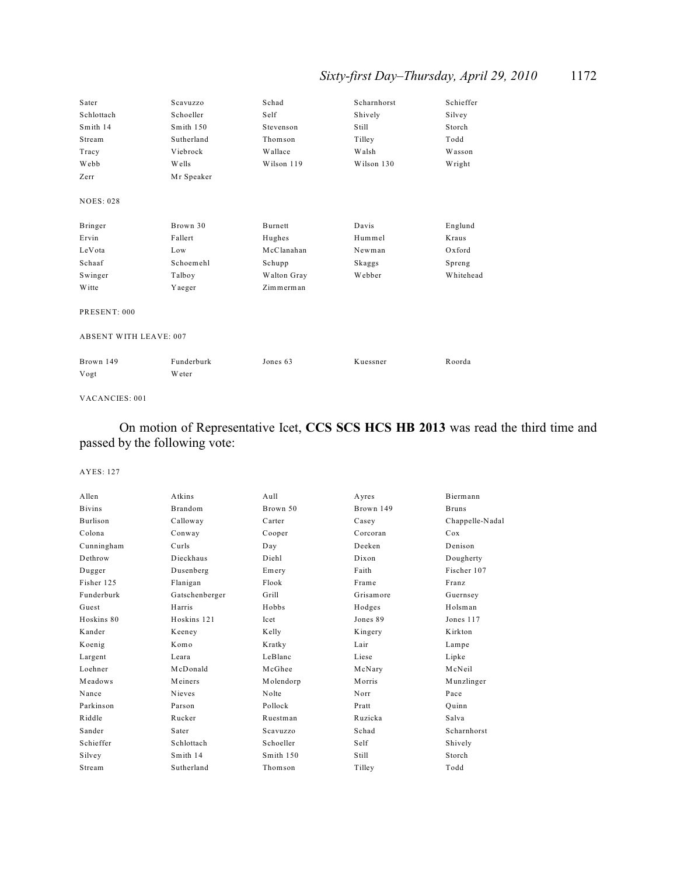## *Sixty-first Day–Thursday, April 29, 2010* 1172

| Sater                         | Scavuzzo   | Schad          | Scharnhorst | Schieffer |  |
|-------------------------------|------------|----------------|-------------|-----------|--|
| Schlottach                    | Schoeller  | Self           | Shively     | Silvey    |  |
| Smith 14                      | Smith 150  | Stevenson      | Still       | Storch    |  |
| Stream                        | Sutherland | Thomson        | Tilley      | Todd      |  |
| Tracy                         | Viebrock   | <b>Wallace</b> | Walsh       | Wasson    |  |
| Webb                          | Wells      | Wilson 119     | Wilson 130  | Wright    |  |
| Zerr                          | Mr Speaker |                |             |           |  |
| <b>NOES: 028</b>              |            |                |             |           |  |
|                               |            |                |             |           |  |
| Bringer                       | Brown 30   | Burnett        | Davis       | Englund   |  |
| Ervin                         | Fallert    | Hughes         | Hummel      | Kraus     |  |
| LeVota                        | Low        | McClanahan     | Newman      | Oxford    |  |
| Schaaf                        | Schoemehl  | Schupp         | Skaggs      | Spreng    |  |
| Swinger                       | Talboy     | Walton Gray    | Webber      | Whitehead |  |
| <b>W</b> itte                 | Yaeger     | Zimmerman      |             |           |  |
| PRESENT: 000                  |            |                |             |           |  |
| <b>ABSENT WITH LEAVE: 007</b> |            |                |             |           |  |
|                               |            |                |             |           |  |
| Brown 149                     | Funderburk | Jones 63       | Kuessner    | Roorda    |  |
| Vogt                          | Weter      |                |             |           |  |
|                               |            |                |             |           |  |

#### VACANCIES: 001

## On motion of Representative Icet, **CCS SCS HCS HB 2013** was read the third time and passed by the following vote:

| Allen         | Atkins         | Aull      | Ayres     | Biermann        |
|---------------|----------------|-----------|-----------|-----------------|
| <b>Bivins</b> | Brandom        | Brown 50  | Brown 149 | <b>Bruns</b>    |
| Burlison      | Calloway       | Carter    | Casey     | Chappelle-Nadal |
| Colona        | Conway         | Cooper    | Corcoran  | Cox             |
| Cunningham    | Curls          | Day       | Deeken    | Denison         |
| Dethrow       | Dieckhaus      | Diehl     | Dixon     | Dougherty       |
| Dugger        | Dusenberg      | Emery     | Faith     | Fischer 107     |
| Fisher 125    | Flanigan       | Flook     | Frame     | Franz           |
| Funderburk    | Gatschenberger | Grill     | Grisamore | Guernsey        |
| Guest         | Harris         | Hobbs     | Hodges    | Holsman         |
| Hoskins 80    | Hoskins 121    | Icet      | Jones 89  | Jones 117       |
| Kander        | Keeney         | Kelly     | Kingery   | Kirkton         |
| Koenig        | Komo           | Kratky    | Lair      | Lampe           |
| Largent       | Leara          | LeBlanc   | Liese     | Lipke           |
| Loehner       | McDonald       | McGhee    | McNary    | McNeil          |
| Meadows       | Meiners        | Molendorp | Morris    | Munzlinger      |
| Nance         | Nieves         | Nolte     | Norr      | Pace            |
| Parkinson     | Parson         | Pollock   | Pratt     | Ouinn           |
| Riddle        | Rucker         | Ruestman  | Ruzicka   | Salva           |
| Sander        | Sater          | Scavuzzo  | Schad     | Scharnhorst     |
| Schieffer     | Schlottach     | Schoeller | Self      | Shively         |
| Silvey        | Smith 14       | Smith 150 | Still     | Storch          |
| Stream        | Sutherland     | Thomson   | Tilley    | Todd            |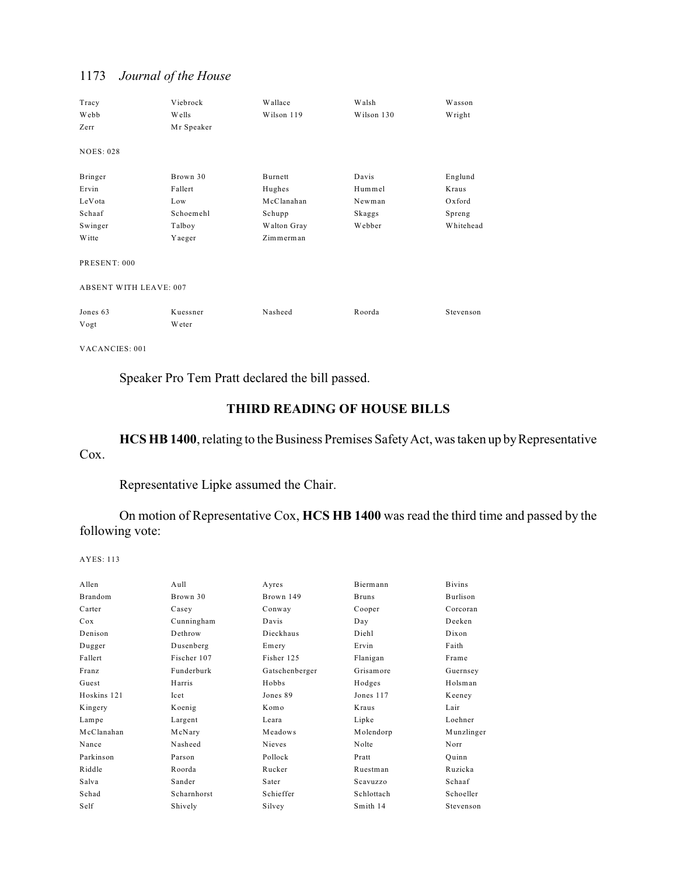| Tracy<br>Webb<br>Zerr         | Viebrock<br>Wells<br>Mr Speaker | Wallace<br>Wilson 119 | Walsh<br>Wilson 130 | Wasson<br>Wright |
|-------------------------------|---------------------------------|-----------------------|---------------------|------------------|
| <b>NOES: 028</b>              |                                 |                       |                     |                  |
| Bringer                       | Brown 30                        | Burnett               | Davis               | Englund          |
| Ervin                         | Fallert                         | Hughes                | Hummel              | Kraus            |
| LeVota                        | Low                             | McClanahan            | Newman              | Oxford           |
| Schaaf                        | Schoemehl                       | Schupp                | Skaggs              | Spreng           |
| Swinger                       | Talboy                          | Walton Gray           | Webber              | Whitehead        |
| Witte                         | Yaeger                          | $Zim$ merman          |                     |                  |
| PRESENT: 000                  |                                 |                       |                     |                  |
| <b>ABSENT WITH LEAVE: 007</b> |                                 |                       |                     |                  |
| Jones 63<br>Vogt              | Kuessner<br>Weter               | Nasheed               | Roorda              | Stevenson        |

VACANCIES: 001

Speaker Pro Tem Pratt declared the bill passed.

## **THIRD READING OF HOUSE BILLS**

**HCS HB 1400**, relating to the Business Premises SafetyAct, was taken up by Representative Cox.

Representative Lipke assumed the Chair.

On motion of Representative Cox, **HCS HB 1400** was read the third time and passed by the following vote:

AYES: 113

| Allen          | Aull        | Ayres          | Biermann     | <b>Bivins</b> |
|----------------|-------------|----------------|--------------|---------------|
| <b>Brandom</b> | Brown 30    | Brown 149      | <b>Bruns</b> | Burlison      |
| Carter         | Casey       | Conway         | Cooper       | Corcoran      |
| Cox            | Cunningham  | Davis          | Day          | Deeken        |
| Denison        | Dethrow     | Dieckhaus      | Diehl        | Dixon         |
| Dugger         | Dusenberg   | Emery          | Ervin        | Faith         |
| Fallert        | Fischer 107 | Fisher 125     | Flanigan     | Frame         |
| Franz          | Funderburk  | Gatschenberger | Grisamore    | Guernsey      |
| Guest          | Harris      | Hobbs          | Hodges       | Holsman       |
| Hoskins 121    | Icet        | Jones 89       | Jones 117    | Keeney        |
| Kingery        | Koenig      | Komo           | Kraus        | Lair          |
| Lampe          | Largent     | Leara          | Lipke        | Loehner       |
| McClanahan     | McNary      | Meadows        | Molendorp    | Munzlinger    |
| Nance          | Nasheed     | <b>Nieves</b>  | Nolte        | Norr          |
| Parkinson      | Parson      | Pollock        | Pratt        | Ouinn         |
| Riddle         | Roorda      | Rucker         | Ruestman     | Ruzicka       |
| Salva          | Sander      | Sater          | Scavuzzo     | Schaaf        |
| Schad          | Scharnhorst | Schieffer      | Schlottach   | Schoeller     |
| Self           | Shively     | Silvey         | Smith 14     | Stevenson     |
|                |             |                |              |               |

## 1173 *Journal of the House*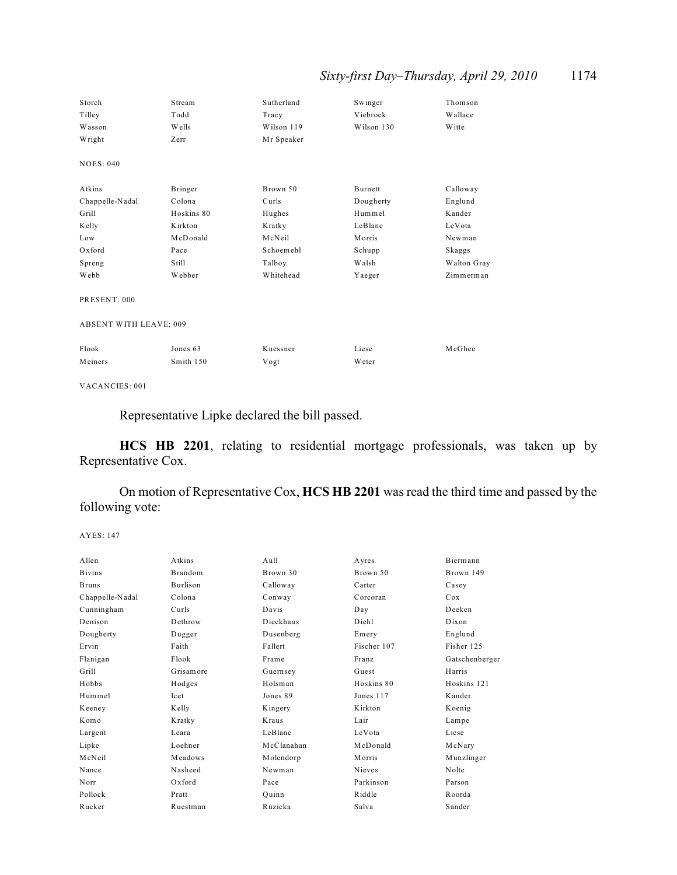## *Sixty-first Day–Thursday, April 29, 2010* 1174

| Storch                        | Stream       | Sutherland | Swinger       | Thomson     |
|-------------------------------|--------------|------------|---------------|-------------|
| Tilley                        | Todd         | Tracy      | Viebrock      | Wallace     |
| Wasson                        | <b>Wells</b> | Wilson 119 | Wilson 130    | W itte      |
| Wright                        | Zerr         | Mr Speaker |               |             |
| <b>NOES: 040</b>              |              |            |               |             |
| Atkins                        | Bringer      | Brown 50   | Burnett       | Calloway    |
| Chappelle-Nadal               | Colona       | Curls      | Dougherty     | Englund     |
| Grill                         | Hoskins 80   | Hughes     | Hummel        | Kander      |
| Kelly                         | Kirkton      | Kratky     | LeBlanc       | LeVota      |
| Low                           | McDonald     | McNeil     | Morris        | Newman      |
| Oxford                        | Pace         | Schoemehl  | Schupp        | Skaggs      |
| Spreng                        | Still        | Talboy     | Walsh         | Walton Gray |
| Webb                          | Webber       | Whitehead  | Yaeger        | Zimmerman   |
| PRESENT: 000                  |              |            |               |             |
| <b>ABSENT WITH LEAVE: 009</b> |              |            |               |             |
| Flook                         | Jones 63     | Kuessner   | Liese         | McGhee      |
| Meiners                       | Smith 150    | Vogt       | <b>W</b> eter |             |

VACANCIES: 001

Representative Lipke declared the bill passed.

**HCS HB 2201**, relating to residential mortgage professionals, was taken up by Representative Cox.

On motion of Representative Cox, **HCS HB 2201** was read the third time and passed by the following vote:

```
AYES: 147
```

|           |                          |                     | Biermann          |
|-----------|--------------------------|---------------------|-------------------|
|           |                          |                     | Brown 149         |
| Burlison  | Calloway                 | Carter              | Casey             |
| Colona    | Conway                   | Corcoran            | Cox               |
| Curls     | Davis                    | Day                 | Deeken            |
| Dethrow   | Dieckhaus                | Diehl               | Dixon             |
| Dugger    | Dusenberg                | Emery               | Englund           |
| Faith     | Fallert                  | Fischer 107         | Fisher 125        |
| Flook     | Frame                    | Franz               | Gatschenberger    |
| Grisamore | Guernsey                 | Guest               | Harris            |
| Hodges    | Holsman                  | Hoskins 80          | Hoskins 121       |
| Icet      | Jones 89                 | Jones 117           | Kander            |
| Kelly     | Kingery                  | Kirkton             | Koenig            |
| Kratky    | Kraus                    | Lair                | Lampe             |
| Leara     | LeBlanc                  | LeVota              | Liese             |
| Loehner   | McClanahan               | McDonald            | McNary            |
| Meadows   | Molendorp                | Morris              | Munzlinger        |
| Nasheed   | Newman                   | Nieves              | Nolte             |
| Oxford    | Pace                     | Parkinson           | Parson            |
| Pratt     | Quinn                    | Riddle              | Roorda            |
| Ruestman  | Ruzicka                  | Salva               | Sander            |
|           | Atkins<br><b>Brandom</b> | $A$ ull<br>Brown 30 | Ayres<br>Brown 50 |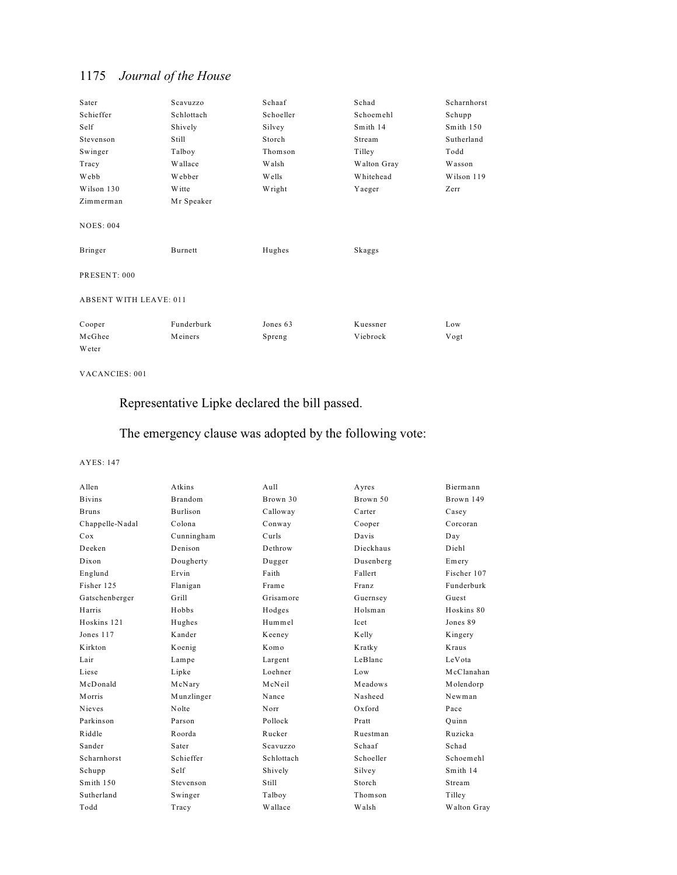| Sater                         | Scavuzzo   | Schaaf       | Schad       | Scharnhorst |
|-------------------------------|------------|--------------|-------------|-------------|
| Schieffer                     | Schlottach | Schoeller    | Schoemehl   | Schupp      |
| Self                          | Shively    | Silvey       | Smith 14    | Smith 150   |
| Stevenson                     | Still      | Storch       | Stream      | Sutherland  |
| Swinger                       | Talboy     | Thomson      | Tilley      | Todd        |
| Tracy                         | Wallace    | <b>Walsh</b> | Walton Gray | Wasson      |
| Webb                          | Webber     | Wells        | Whitehead   | Wilson 119  |
| Wilson 130                    | Witte      | Wright       | Yaeger      | Zerr        |
| Zimmerman                     | Mr Speaker |              |             |             |
| <b>NOES: 004</b>              |            |              |             |             |
| Bringer                       | Burnett    | Hughes       | Skaggs      |             |
| PRESENT: 000                  |            |              |             |             |
| <b>ABSENT WITH LEAVE: 011</b> |            |              |             |             |
| Cooper                        | Funderburk | Jones 63     | Kuessner    | Low         |
| McGhee                        | Meiners    | Spreng       | Viebrock    | Vogt        |
| Weter                         |            |              |             |             |

#### VACANCIES: 001

## Representative Lipke declared the bill passed.

## The emergency clause was adopted by the following vote:

| Allen           | Atkins         | $A$ ull    | Ayres     | Biermann    |
|-----------------|----------------|------------|-----------|-------------|
| <b>Bivins</b>   | <b>Brandom</b> | Brown 30   | Brown 50  | Brown 149   |
| <b>Bruns</b>    | Burlison       | Calloway   | Carter    | Casey       |
| Chappelle-Nadal | Colona         | Conway     | Cooper    | Corcoran    |
| Cox             | Cunningham     | Curls      | Davis     | Day         |
| Deeken          | Denison        | Dethrow    | Dieckhaus | Diehl       |
| Dixon           | Dougherty      | Dugger     | Dusenberg | Emery       |
| Englund         | Ervin          | Faith      | Fallert   | Fischer 107 |
| Fisher 125      | Flanigan       | Frame      | Franz     | Funderburk  |
| Gatschenberger  | Grill          | Grisamore  | Guernsey  | Guest       |
| Harris          | Hobbs          | Hodges     | Holsman   | Hoskins 80  |
| Hoskins 121     | Hughes         | Hummel     | Icet      | Jones 89    |
| Jones 117       | Kander         | Keeney     | Kelly     | Kingery     |
| K irkton        | Koenig         | Komo       | Kratky    | Kraus       |
| Lair            | Lampe          | Largent    | LeBlanc   | LeVota      |
| Liese           | Lipke          | Loehner    | Low       | McClanahan  |
| McDonald        | McNary         | McNeil     | Meadows   | Molendorp   |
| Morris          | Munzlinger     | Nance      | Nasheed   | Newman      |
| <b>Nieves</b>   | Nolte          | Norr       | $Ox$ ford | Pace        |
| Parkinson       | Parson         | Pollock    | Pratt     | Ouinn       |
| Riddle          | Roorda         | Rucker     | Ruestman  | Ruzicka     |
| Sander          | Sater          | Scavuzzo   | Schaaf    | Schad       |
| Scharnhorst     | Schieffer      | Schlottach | Schoeller | Schoemehl   |
| Schupp          | Self           | Shively    | Silvey    | Smith 14    |
| Smith 150       | Stevenson      | Still      | Storch    | Stream      |
| Sutherland      | Swinger        | Talboy     | Thomson   | Tilley      |
| Todd            | Tracy          | Wallace    | Walsh     | Walton Gray |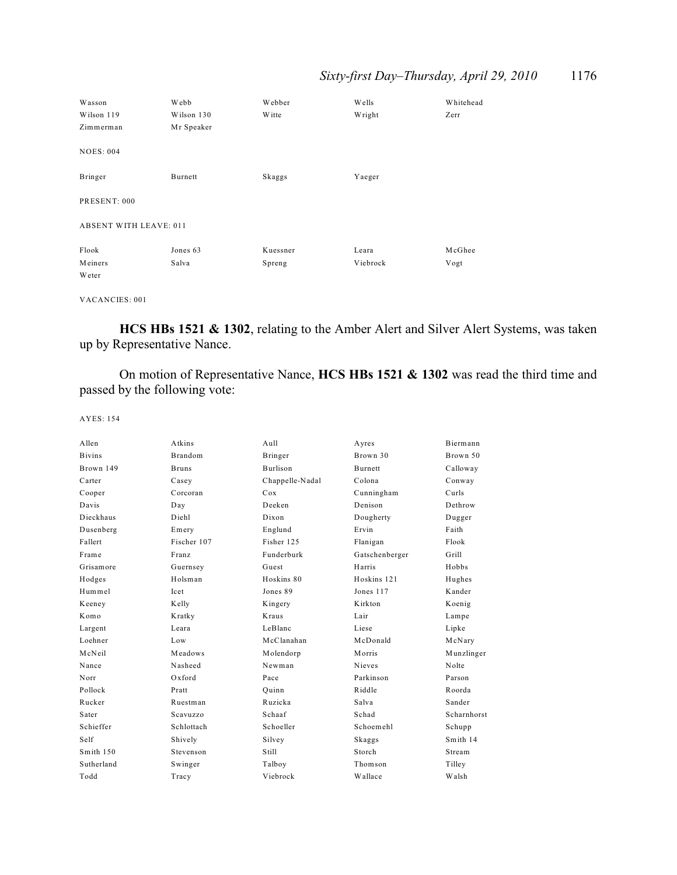## *Sixty-first Day–Thursday, April 29, 2010* 1176

| Wasson                        | Webb       | Webber   | Wells    | Whitehead |
|-------------------------------|------------|----------|----------|-----------|
| Wilson 119                    | Wilson 130 | W itte   | Wright   | Zerr      |
| Zimmerman                     | Mr Speaker |          |          |           |
| <b>NOES: 004</b>              |            |          |          |           |
| Bringer                       | Burnett    | Skaggs   | Yaeger   |           |
| PRESENT: 000                  |            |          |          |           |
| <b>ABSENT WITH LEAVE: 011</b> |            |          |          |           |
| Flook                         | Jones 63   | Kuessner | Leara    | McGhee    |
| Meiners                       | Salva      | Spreng   | Viebrock | Vogt      |
| Weter                         |            |          |          |           |

VACANCIES: 001

**HCS HBs 1521 & 1302**, relating to the Amber Alert and Silver Alert Systems, was taken up by Representative Nance.

On motion of Representative Nance, **HCS HBs 1521 & 1302** was read the third time and passed by the following vote:

| A llen        | Atkins         | Aull            | Ayres          | Biermann    |
|---------------|----------------|-----------------|----------------|-------------|
| <b>Bivins</b> | <b>Brandom</b> | Bringer         | Brown 30       | Brown 50    |
| Brown 149     | <b>Bruns</b>   | <b>Burlison</b> | <b>Burnett</b> | Calloway    |
| Carter        | Casey          | Chappelle-Nadal | Colona         | Conway      |
| Cooper        | Corcoran       | Cox             | Cunningham     | Curls       |
| Davis         | Day            | Deeken          | Denison        | Dethrow     |
| Dieckhaus     | Diehl          | Dixon           | Dougherty      | Dugger      |
| Dusenberg     | Emery          | Englund         | Ervin          | Faith       |
| Fallert       | Fischer 107    | Fisher 125      | Flanigan       | Flook       |
| Frame         | Franz          | Funderburk      | Gatschenberger | Grill       |
| Grisamore     | Guernsey       | Guest           | Harris         | Hobbs       |
| Hodges        | Holsman        | Hoskins 80      | Hoskins 121    | Hughes      |
| Hummel        | <b>Icet</b>    | Jones 89        | Jones 117      | Kander      |
| Keeney        | Kelly          | Kingery         | Kirkton        | Koenig      |
| Komo          | Kratky         | Kraus           | Lair           | Lampe       |
| Largent       | Leara          | LeBlanc         | Liese          | Lipke       |
| Loehner       | Low            | McClanahan      | McDonald       | McNary      |
| McNeil        | Meadows        | Molendorp       | Morris         | Munzlinger  |
| Nance         | Nasheed        | Newman          | Nieves         | Nolte       |
| Norr          | $Ox$ ford      | Pace            | Parkinson      | Parson      |
| Pollock       | Pratt          | Ouinn           | Riddle         | Roorda      |
| Rucker        | Ruestman       | Ruzicka         | Salva          | Sander      |
| Sater         | Scavuzzo       | Schaaf          | Schad          | Scharnhorst |
| Schieffer     | Schlottach     | Schoeller       | Schoemehl      | Schupp      |
| Self          | Shively        | Silvey          | Skaggs         | Smith 14    |
| Smith 150     | Stevenson      | Still           | Storch         | Stream      |
| Sutherland    | Swinger        | Talboy          | Thomson        | Tilley      |
| Todd          | Tracy          | Viebrock        | Wallace        | Walsh       |
|               |                |                 |                |             |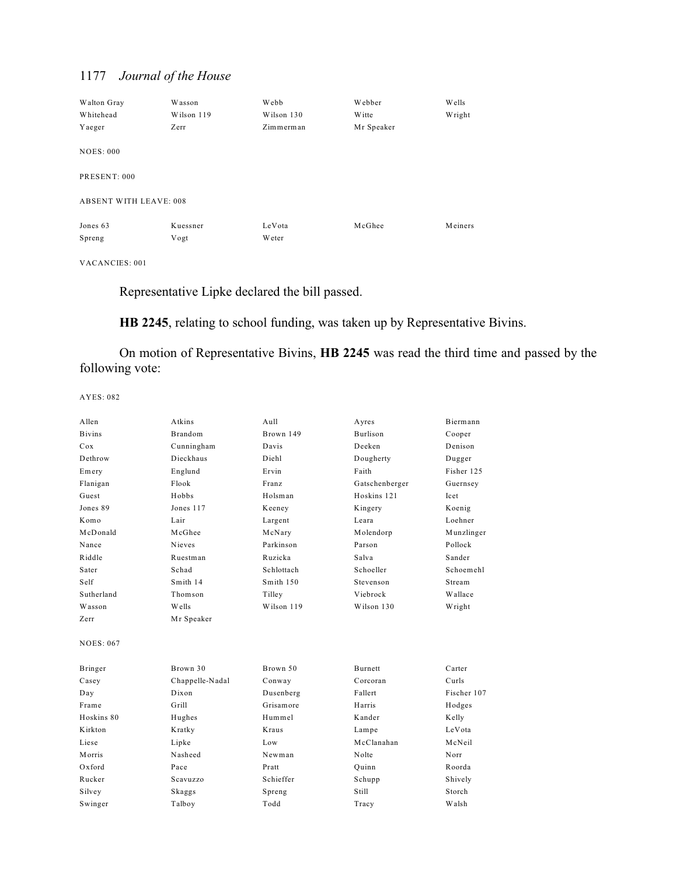| Walton Gray                   | Wasson     | Webb          | Webber     | Wells   |
|-------------------------------|------------|---------------|------------|---------|
| Whitehead                     | Wilson 119 | Wilson 130    | Witte      | Wright  |
| Yaeger                        | Zerr       | Zimmerman     | Mr Speaker |         |
| <b>NOES: 000</b>              |            |               |            |         |
| PRESENT: 000                  |            |               |            |         |
| <b>ABSENT WITH LEAVE: 008</b> |            |               |            |         |
| Jones 63                      | Kuessner   | LeVota        | McGhee     | Meiners |
| Spreng                        | Vogt       | <b>W</b> eter |            |         |

VACANCIES: 001

Representative Lipke declared the bill passed.

**HB 2245**, relating to school funding, was taken up by Representative Bivins.

On motion of Representative Bivins, **HB 2245** was read the third time and passed by the following vote:

| Allen            | Atkins          | Aull       | Ayres           | Biermann    |
|------------------|-----------------|------------|-----------------|-------------|
| <b>Bivins</b>    | <b>Brandom</b>  | Brown 149  | <b>Burlison</b> | Cooper      |
| Cox              | Cunningham      | Davis      | Deeken          | Denison     |
| Dethrow          | Dieckhaus       | Diehl      | Dougherty       | Dugger      |
| Emery            | Englund         | Ervin      | Faith           | Fisher 125  |
| Flanigan         | Flook           | Franz      | Gatschenberger  | Guernsey    |
| Guest            | Hobbs           | Holsman    | Hoskins 121     | Icet        |
| Jones 89         | Jones 117       | Keeney     | Kingery         | Koenig      |
| Komo             | Lair            | Largent    | Leara           | Loehner     |
| McDonald         | McGhee          | McNary     | Molendorp       | Munzlinger  |
| Nance            | Nieves          | Parkinson  | Parson          | Pollock     |
| Riddle           | Ruestman        | Ruzicka    | Salva           | Sander      |
| Sater            | Schad           | Schlottach | Schoeller       | Schoemehl   |
| Self             | Smith 14        | Smith 150  | Stevenson       | Stream      |
| Sutherland       | Thomson         | Tilley     | Viebrock        | Wallace     |
| Wasson           | Wells           | Wilson 119 | Wilson 130      | Wright      |
| Zerr             | Mr Speaker      |            |                 |             |
| <b>NOES: 067</b> |                 |            |                 |             |
| Bringer          | Brown 30        | Brown 50   | Burnett         | Carter      |
| Casey            | Chappelle-Nadal | Conway     | Corcoran        | Curls       |
| Day              | Dixon           | Dusenberg  | Fallert         | Fischer 107 |
| Frame            | Grill           | Grisamore  | Harris          | Hodges      |
| Hoskins 80       | Hughes          | Hummel     | Kander          | Kelly       |
| K irkton         | Kratky          | Kraus      | Lampe           | LeVota      |
| Liese            | Lipke           | Low        | McClanahan      | McNeil      |
| Morris           | Nasheed         | Newman     | Nolte           | Norr        |
| Oxford           | Pace            | Pratt      | Quinn           | Roorda      |
| Rucker           | Scavuzzo        | Schieffer  | Schupp          | Shively     |
| Silvey           | Skaggs          | Spreng     | Still           | Storch      |
| Swinger          | Talboy          | Todd       | Tracy           | Walsh       |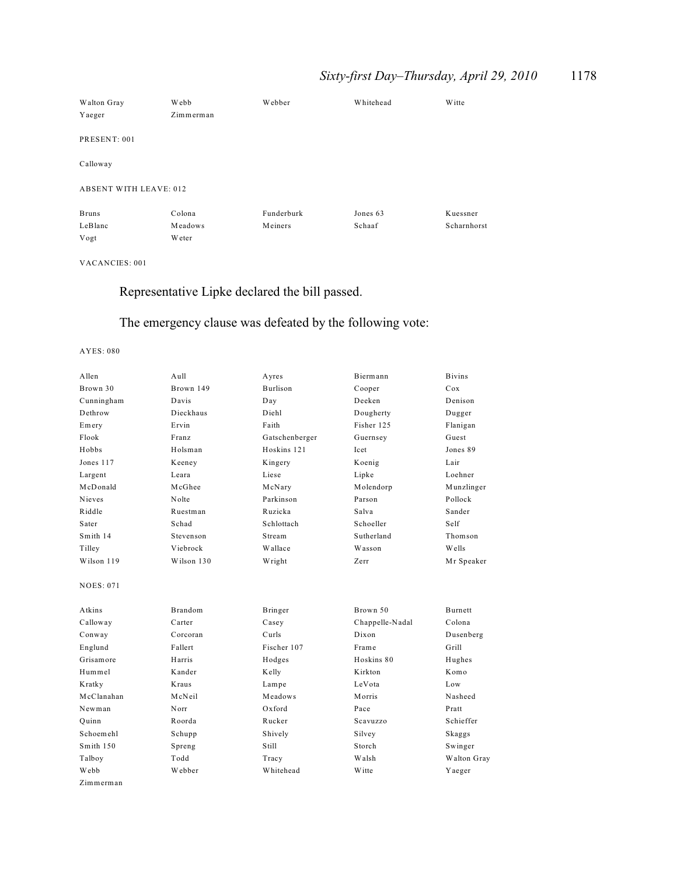## *Sixty-first Day–Thursday, April 29, 2010* 1178

| Walton Gray                   | Webb      | Webber     | Whitehead | <b>W</b> itte |
|-------------------------------|-----------|------------|-----------|---------------|
| Yaeger                        | Zimmerman |            |           |               |
|                               |           |            |           |               |
| PRESENT: 001                  |           |            |           |               |
| Calloway                      |           |            |           |               |
|                               |           |            |           |               |
| <b>ABSENT WITH LEAVE: 012</b> |           |            |           |               |
| <b>Bruns</b>                  | Colona    | Funderburk | Jones 63  | Kuessner      |
| LeBlanc                       | Meadows   | Meiners    | Schaaf    | Scharnhorst   |
| Vogt                          | Weter     |            |           |               |

VACANCIES: 001

## Representative Lipke declared the bill passed.

## The emergency clause was defeated by the following vote:

| A llen           | $A$ ull        | Ayres           | Biermann        | <b>Bivins</b> |
|------------------|----------------|-----------------|-----------------|---------------|
| Brown 30         | Brown 149      | <b>Burlison</b> | Cooper          | Cox           |
| Cunningham       | Davis          | Day             | Deeken          | Denison       |
| Dethrow          | Dieckhaus      | Diehl           | Dougherty       | Dugger        |
| Emery            | Ervin          | Faith           | Fisher 125      | Flanigan      |
| Flook            | Franz          | Gatschenberger  | Guernsey        | Guest         |
| Hobbs            | Holsman        | Hoskins 121     | Icet            | Jones 89      |
| Jones 117        | Keeney         | Kingery         | Koenig          | Lair          |
| Largent          | Leara          | Liese           | Lipke           | Loehner       |
| McDonald         | McGhee         | McNary          | Molendorp       | Munzlinger    |
| <b>Nieves</b>    | Nolte          | Parkinson       | Parson          | Pollock       |
| Riddle           | Ruestman       | Ruzicka         | Salva           | Sander        |
| Sater            | Schad          | Schlottach      | Schoeller       | Self          |
| Smith 14         | Stevenson      | Stream          | Sutherland      | Thomson       |
| Tilley           | Viebrock       | Wallace         | Wasson          | Wells         |
| Wilson 119       | Wilson 130     | Wright          | Zerr            | Mr Speaker    |
| <b>NOES: 071</b> |                |                 |                 |               |
| Atkins           | <b>Brandom</b> | Bringer         | Brown 50        | Burnett       |
| Calloway         | Carter         | Casey           | Chappelle-Nadal | Colona        |
| Conway           | Corcoran       | Curls           | Dixon           | Dusenberg     |
| Englund          | Fallert        | Fischer 107     | Frame           | Grill         |
| Grisamore        | Harris         | Hodges          | Hoskins 80      | Hughes        |
| Hummel           | Kander         | Kelly           | K irkton        | Komo          |
| Kratky           | Kraus          | Lampe           | LeVota          | Low           |
| McClanahan       | McNeil         | Meadows         | Morris          | Nasheed       |
| Newman           | Norr           | $Ox$ ford       | Pace            | Pratt         |
| Ouinn            | Roorda         | Rucker          | Scavuzzo        | Schieffer     |
| Schoemehl        | Schupp         | Shively         | Silvey          | Skaggs        |
| Smith 150        | Spreng         | Still           | Storch          | Swinger       |
| Talboy           | Todd           | Tracy           | Walsh           | Walton Gray   |
| Webb             | Webber         | Whitehead       | Witte           | Yaeger        |
| Zimmerman        |                |                 |                 |               |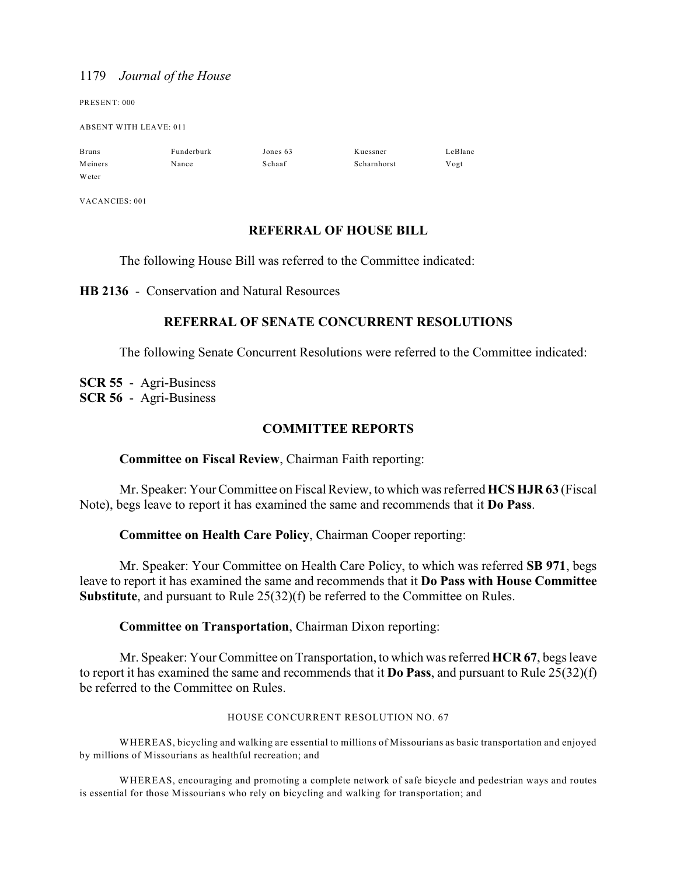PRESENT: 000

ABSENT WITH LEAVE: 011

| <b>Bruns</b> | Funderburk | Jones 63 | Kuessner    | LeBlanc |
|--------------|------------|----------|-------------|---------|
| Meiners      | Nance      | Schaaf   | Scharnhorst | Vogt    |
| Weter        |            |          |             |         |

VACANCIES: 001

## **REFERRAL OF HOUSE BILL**

The following House Bill was referred to the Committee indicated:

**HB 2136** - Conservation and Natural Resources

## **REFERRAL OF SENATE CONCURRENT RESOLUTIONS**

The following Senate Concurrent Resolutions were referred to the Committee indicated:

**SCR 55** - Agri-Business **SCR 56** - Agri-Business

## **COMMITTEE REPORTS**

## **Committee on Fiscal Review**, Chairman Faith reporting:

Mr. Speaker: Your Committee on Fiscal Review, to which was referred **HCS HJR 63** (Fiscal Note), begs leave to report it has examined the same and recommends that it **Do Pass**.

## **Committee on Health Care Policy**, Chairman Cooper reporting:

Mr. Speaker: Your Committee on Health Care Policy, to which was referred **SB 971**, begs leave to report it has examined the same and recommends that it **Do Pass with House Committee Substitute**, and pursuant to Rule 25(32)(f) be referred to the Committee on Rules.

### **Committee on Transportation**, Chairman Dixon reporting:

Mr. Speaker: Your Committee on Transportation, to which was referred **HCR 67**, begs leave to report it has examined the same and recommends that it **Do Pass**, and pursuant to Rule 25(32)(f) be referred to the Committee on Rules.

#### HOUSE CONCURRENT RESOLUTION NO. 67

WHEREAS, bicycling and walking are essential to millions of Missourians as basic transportation and enjoyed by millions of Missourians as healthful recreation; and

WHEREAS, encouraging and promoting a complete network of safe bicycle and pedestrian ways and routes is essential for those Missourians who rely on bicycling and walking for transportation; and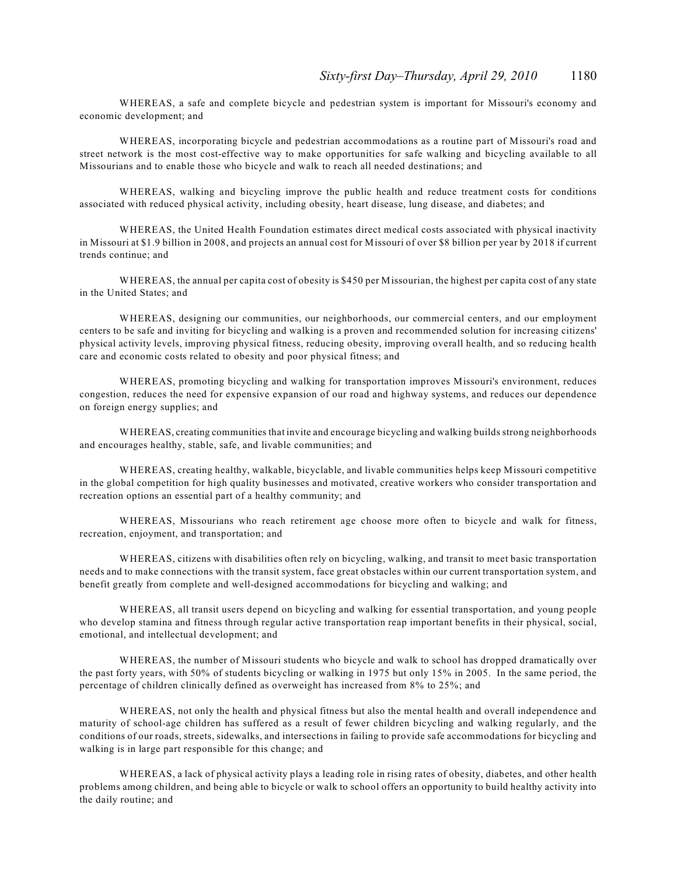WHEREAS, a safe and complete bicycle and pedestrian system is important for Missouri's economy and economic development; and

WHEREAS, incorporating bicycle and pedestrian accommodations as a routine part of Missouri's road and street network is the most cost-effective way to make opportunities for safe walking and bicycling available to all Missourians and to enable those who bicycle and walk to reach all needed destinations; and

WHEREAS, walking and bicycling improve the public health and reduce treatment costs for conditions associated with reduced physical activity, including obesity, heart disease, lung disease, and diabetes; and

WHEREAS, the United Health Foundation estimates direct medical costs associated with physical inactivity in Missouri at \$1.9 billion in 2008, and projects an annual cost for Missouri of over \$8 billion per year by 2018 if current trends continue; and

WHEREAS, the annual per capita cost of obesity is \$450 per Missourian, the highest per capita cost of any state in the United States; and

WHEREAS, designing our communities, our neighborhoods, our commercial centers, and our employment centers to be safe and inviting for bicycling and walking is a proven and recommended solution for increasing citizens' physical activity levels, improving physical fitness, reducing obesity, improving overall health, and so reducing health care and economic costs related to obesity and poor physical fitness; and

WHEREAS, promoting bicycling and walking for transportation improves Missouri's environment, reduces congestion, reduces the need for expensive expansion of our road and highway systems, and reduces our dependence on foreign energy supplies; and

WHEREAS, creating communities that invite and encourage bicycling and walking builds strong neighborhoods and encourages healthy, stable, safe, and livable communities; and

WHEREAS, creating healthy, walkable, bicyclable, and livable communities helps keep Missouri competitive in the global competition for high quality businesses and motivated, creative workers who consider transportation and recreation options an essential part of a healthy community; and

WHEREAS, Missourians who reach retirement age choose more often to bicycle and walk for fitness, recreation, enjoyment, and transportation; and

WHEREAS, citizens with disabilities often rely on bicycling, walking, and transit to meet basic transportation needs and to make connections with the transit system, face great obstacles within our current transportation system, and benefit greatly from complete and well-designed accommodations for bicycling and walking; and

WHEREAS, all transit users depend on bicycling and walking for essential transportation, and young people who develop stamina and fitness through regular active transportation reap important benefits in their physical, social, emotional, and intellectual development; and

WHEREAS, the number of Missouri students who bicycle and walk to school has dropped dramatically over the past forty years, with 50% of students bicycling or walking in 1975 but only 15% in 2005. In the same period, the percentage of children clinically defined as overweight has increased from 8% to 25%; and

WHEREAS, not only the health and physical fitness but also the mental health and overall independence and maturity of school-age children has suffered as a result of fewer children bicycling and walking regularly, and the conditions of our roads, streets, sidewalks, and intersections in failing to provide safe accommodations for bicycling and walking is in large part responsible for this change; and

WHEREAS, a lack of physical activity plays a leading role in rising rates of obesity, diabetes, and other health problems among children, and being able to bicycle or walk to school offers an opportunity to build healthy activity into the daily routine; and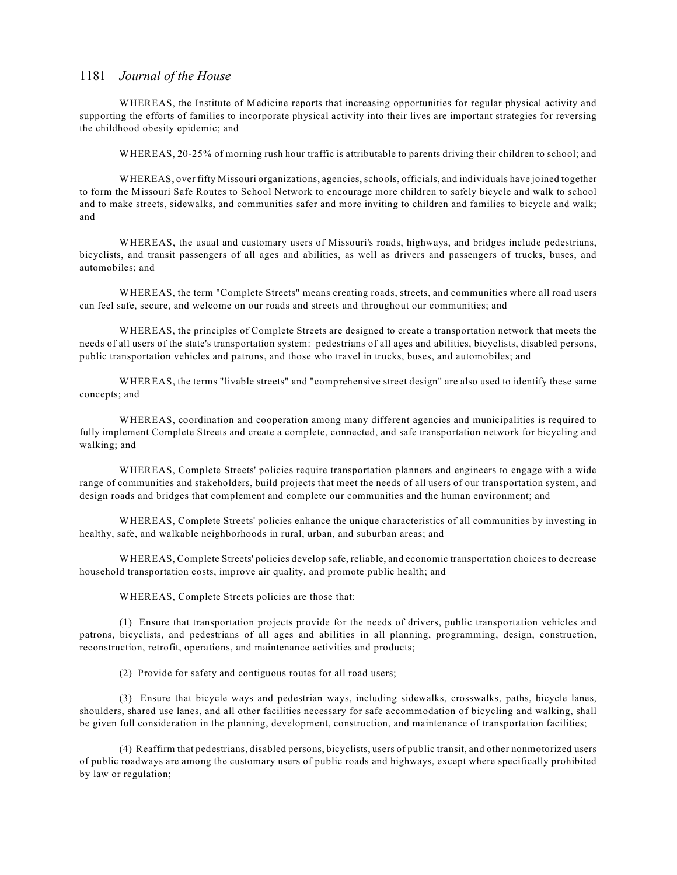WHEREAS, the Institute of Medicine reports that increasing opportunities for regular physical activity and supporting the efforts of families to incorporate physical activity into their lives are important strategies for reversing the childhood obesity epidemic; and

WHEREAS, 20-25% of morning rush hour traffic is attributable to parents driving their children to school; and

WHEREAS, over fifty Missouri organizations, agencies, schools, officials, and individuals have joined together to form the Missouri Safe Routes to School Network to encourage more children to safely bicycle and walk to school and to make streets, sidewalks, and communities safer and more inviting to children and families to bicycle and walk; and

WHEREAS, the usual and customary users of Missouri's roads, highways, and bridges include pedestrians, bicyclists, and transit passengers of all ages and abilities, as well as drivers and passengers of trucks, buses, and automobiles; and

WHEREAS, the term "Complete Streets" means creating roads, streets, and communities where all road users can feel safe, secure, and welcome on our roads and streets and throughout our communities; and

WHEREAS, the principles of Complete Streets are designed to create a transportation network that meets the needs of all users of the state's transportation system: pedestrians of all ages and abilities, bicyclists, disabled persons, public transportation vehicles and patrons, and those who travel in trucks, buses, and automobiles; and

WHEREAS, the terms "livable streets" and "comprehensive street design" are also used to identify these same concepts; and

WHEREAS, coordination and cooperation among many different agencies and municipalities is required to fully implement Complete Streets and create a complete, connected, and safe transportation network for bicycling and walking; and

WHEREAS, Complete Streets' policies require transportation planners and engineers to engage with a wide range of communities and stakeholders, build projects that meet the needs of all users of our transportation system, and design roads and bridges that complement and complete our communities and the human environment; and

WHEREAS, Complete Streets' policies enhance the unique characteristics of all communities by investing in healthy, safe, and walkable neighborhoods in rural, urban, and suburban areas; and

WHEREAS, Complete Streets' policies develop safe, reliable, and economic transportation choices to decrease household transportation costs, improve air quality, and promote public health; and

WHEREAS, Complete Streets policies are those that:

(1) Ensure that transportation projects provide for the needs of drivers, public transportation vehicles and patrons, bicyclists, and pedestrians of all ages and abilities in all planning, programming, design, construction, reconstruction, retrofit, operations, and maintenance activities and products;

(2) Provide for safety and contiguous routes for all road users;

(3) Ensure that bicycle ways and pedestrian ways, including sidewalks, crosswalks, paths, bicycle lanes, shoulders, shared use lanes, and all other facilities necessary for safe accommodation of bicycling and walking, shall be given full consideration in the planning, development, construction, and maintenance of transportation facilities;

(4) Reaffirm that pedestrians, disabled persons, bicyclists, users of public transit, and other nonmotorized users of public roadways are among the customary users of public roads and highways, except where specifically prohibited by law or regulation;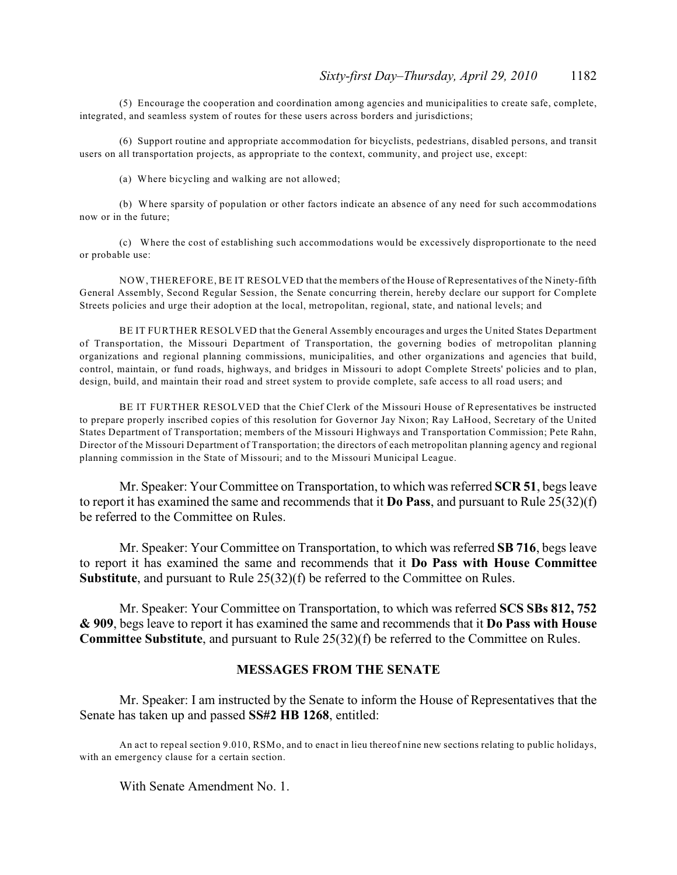(5) Encourage the cooperation and coordination among agencies and municipalities to create safe, complete, integrated, and seamless system of routes for these users across borders and jurisdictions;

(6) Support routine and appropriate accommodation for bicyclists, pedestrians, disabled persons, and transit users on all transportation projects, as appropriate to the context, community, and project use, except:

(a) Where bicycling and walking are not allowed;

(b) Where sparsity of population or other factors indicate an absence of any need for such accommodations now or in the future;

(c) Where the cost of establishing such accommodations would be excessively disproportionate to the need or probable use:

NOW, THEREFORE, BE IT RESOLVED that the members of the House of Representatives of the Ninety-fifth General Assembly, Second Regular Session, the Senate concurring therein, hereby declare our support for Complete Streets policies and urge their adoption at the local, metropolitan, regional, state, and national levels; and

BE IT FURTHER RESOLVED that the General Assembly encourages and urges the United States Department of Transportation, the Missouri Department of Transportation, the governing bodies of metropolitan planning organizations and regional planning commissions, municipalities, and other organizations and agencies that build, control, maintain, or fund roads, highways, and bridges in Missouri to adopt Complete Streets' policies and to plan, design, build, and maintain their road and street system to provide complete, safe access to all road users; and

BE IT FURTHER RESOLVED that the Chief Clerk of the Missouri House of Representatives be instructed to prepare properly inscribed copies of this resolution for Governor Jay Nixon; Ray LaHood, Secretary of the United States Department of Transportation; members of the Missouri Highways and Transportation Commission; Pete Rahn, Director of the Missouri Department of Transportation; the directors of each metropolitan planning agency and regional planning commission in the State of Missouri; and to the Missouri Municipal League.

Mr. Speaker: Your Committee on Transportation, to which was referred **SCR 51**, begs leave to report it has examined the same and recommends that it **Do Pass**, and pursuant to Rule 25(32)(f) be referred to the Committee on Rules.

Mr. Speaker: Your Committee on Transportation, to which was referred **SB 716**, begs leave to report it has examined the same and recommends that it **Do Pass with House Committee Substitute**, and pursuant to Rule 25(32)(f) be referred to the Committee on Rules.

Mr. Speaker: Your Committee on Transportation, to which was referred **SCS SBs 812, 752 & 909**, begs leave to report it has examined the same and recommends that it **Do Pass with House Committee Substitute**, and pursuant to Rule 25(32)(f) be referred to the Committee on Rules.

### **MESSAGES FROM THE SENATE**

Mr. Speaker: I am instructed by the Senate to inform the House of Representatives that the Senate has taken up and passed **SS#2 HB 1268**, entitled:

An act to repeal section 9.010, RSMo, and to enact in lieu thereof nine new sections relating to public holidays, with an emergency clause for a certain section.

With Senate Amendment No. 1.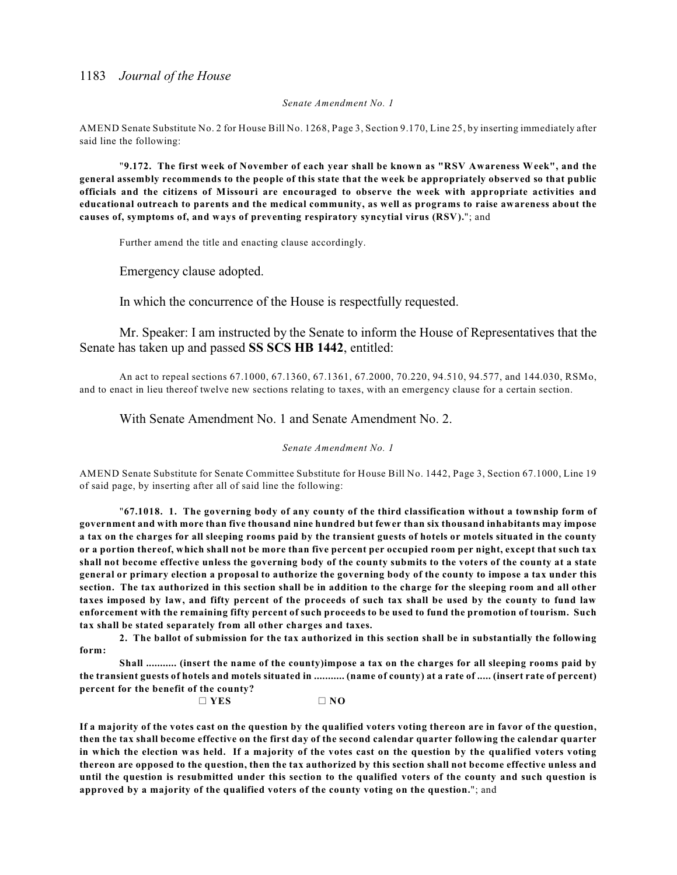#### *Senate Amendment No. 1*

AMEND Senate Substitute No. 2 for House Bill No. 1268, Page 3, Section 9.170, Line 25, by inserting immediately after said line the following:

"**9.172. The first week of November of each year shall be known as "RSV Awareness Week", and the general assembly recommends to the people of this state that the week be appropriately observed so that public officials and the citizens of Missouri are encouraged to observe the week with appropriate activities and educational outreach to parents and the medical community, as well as programs to raise awareness about the causes of, symptoms of, and ways of preventing respiratory syncytial virus (RSV).**"; and

Further amend the title and enacting clause accordingly.

Emergency clause adopted.

In which the concurrence of the House is respectfully requested.

Mr. Speaker: I am instructed by the Senate to inform the House of Representatives that the Senate has taken up and passed **SS SCS HB 1442**, entitled:

An act to repeal sections 67.1000, 67.1360, 67.1361, 67.2000, 70.220, 94.510, 94.577, and 144.030, RSMo, and to enact in lieu thereof twelve new sections relating to taxes, with an emergency clause for a certain section.

With Senate Amendment No. 1 and Senate Amendment No. 2.

#### *Senate Amendment No. 1*

AMEND Senate Substitute for Senate Committee Substitute for House Bill No. 1442, Page 3, Section 67.1000, Line 19 of said page, by inserting after all of said line the following:

"**67.1018. 1. The governing body of any county of the third classification without a township form of government and with more than five thousand nine hundred but fewer than six thousand inhabitants may impose a tax on the charges for all sleeping rooms paid by the transient guests of hotels or motels situated in the county or a portion thereof, which shall not be more than five percent per occupied room per night, except that such tax shall not become effective unless the governing body of the county submits to the voters of the county at a state general or primary election a proposal to authorize the governing body of the county to impose a tax under this section. The tax authorized in this section shall be in addition to the charge for the sleeping room and all other taxes imposed by law, and fifty percent of the proceeds of such tax shall be used by the county to fund law enforcement with the remaining fifty percent of such proceeds to be used to fund the promotion of tourism. Such tax shall be stated separately from all other charges and taxes.**

**2. The ballot of submission for the tax authorized in this section shall be in substantially the following form:**

**Shall ........... (insert the name of the county)impose a tax on the charges for all sleeping rooms paid by the transient guests of hotels and motels situated in ........... (name of county) at a rate of ..... (insert rate of percent) percent for the benefit of the county?**

 $\Box$  YES  $\Box$  NO

**If a majority of the votes cast on the question by the qualified voters voting thereon are in favor of the question, then the tax shall become effective on the first day of the second calendar quarter following the calendar quarter in which the election was held. If a majority of the votes cast on the question by the qualified voters voting thereon are opposed to the question, then the tax authorized by this section shall not become effective unless and until the question is resubmitted under this section to the qualified voters of the county and such question is approved by a majority of the qualified voters of the county voting on the question.**"; and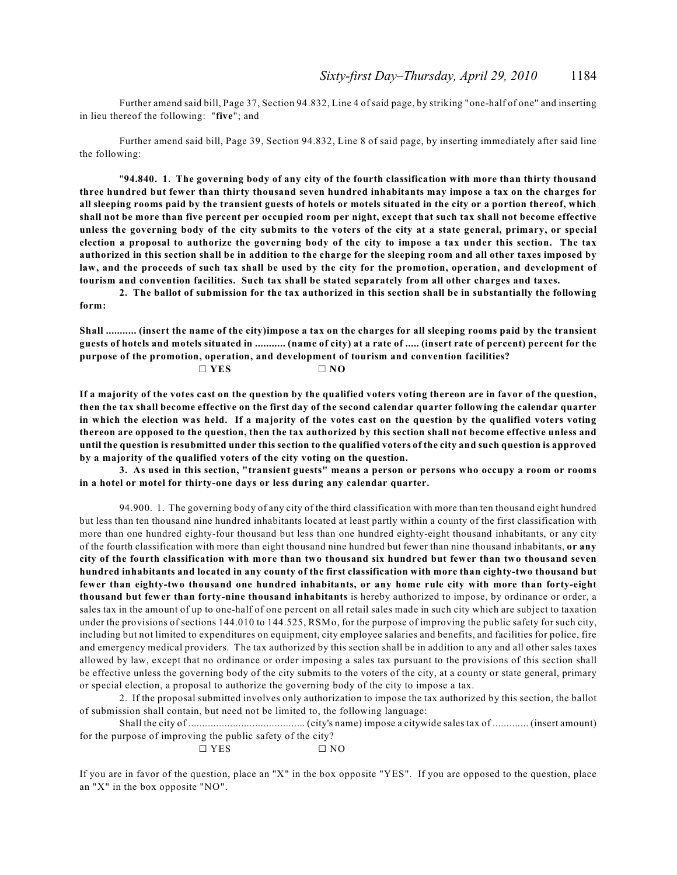Further amend said bill, Page 37, Section 94.832, Line 4 of said page, by striking "one-half of one" and inserting in lieu thereof the following: "**five**"; and

Further amend said bill, Page 39, Section 94.832, Line 8 of said page, by inserting immediately after said line the following:

"**94.840. 1. The governing body of any city of the fourth classification with more than thirty thousand three hundred but fewer than thirty thousand seven hundred inhabitants may impose a tax on the charges for all sleeping rooms paid by the transient guests of hotels or motels situated in the city or a portion thereof, which shall not be more than five percent per occupied room per night, except that such tax shall not become effective unless the governing body of the city submits to the voters of the city at a state general, primary, or special election a proposal to authorize the governing body of the city to impose a tax under this section. The tax authorized in this section shall be in addition to the charge for the sleeping room and all other taxes imposed by law, and the proceeds of such tax shall be used by the city for the promotion, operation, and development of tourism and convention facilities. Such tax shall be stated separately from all other charges and taxes.**

**2. The ballot of submission for the tax authorized in this section shall be in substantially the following form:**

**Shall ........... (insert the name of the city)impose a tax on the charges for all sleeping rooms paid by the transient guests of hotels and motels situated in ........... (name of city) at a rate of ..... (insert rate of percent) percent for the purpose of the promotion, operation, and development of tourism and convention facilities?**

| $\Box$ YES | $\Box$ NO |
|------------|-----------|
|            |           |

**If a majority of the votes cast on the question by the qualified voters voting thereon are in favor of the question, then the tax shall become effective on the first day of the second calendar quarter following the calendar quarter in which the election was held. If a majority of the votes cast on the question by the qualified voters voting thereon are opposed to the question, then the tax authorized by this section shall not become effective unless and until the question is resubmitted under this section to the qualified voters of the city and such question is approved by a majority of the qualified voters of the city voting on the question.**

**3. As used in this section, "transient guests" means a person or persons who occupy a room or rooms in a hotel or motel for thirty-one days or less during any calendar quarter.**

94.900. 1. The governing body of any city of the third classification with more than ten thousand eight hundred but less than ten thousand nine hundred inhabitants located at least partly within a county of the first classification with more than one hundred eighty-four thousand but less than one hundred eighty-eight thousand inhabitants, or any city of the fourth classification with more than eight thousand nine hundred but fewer than nine thousand inhabitants, **or any city of the fourth classification with more than two thousand six hundred but fewer than two thousand seven hundred inhabitants and located in any county of the first classification with more than eighty-two thousand but fewer than eighty-two thousand one hundred inhabitants, or any home rule city with more than forty-eight thousand but fewer than forty-nine thousand inhabitants** is hereby authorized to impose, by ordinance or order, a sales tax in the amount of up to one-half of one percent on all retail sales made in such city which are subject to taxation under the provisions of sections 144.010 to 144.525, RSMo, for the purpose of improving the public safety for such city, including but not limited to expenditures on equipment, city employee salaries and benefits, and facilities for police, fire and emergency medical providers. The tax authorized by this section shall be in addition to any and all other sales taxes allowed by law, except that no ordinance or order imposing a sales tax pursuant to the provisions of this section shall be effective unless the governing body of the city submits to the voters of the city, at a county or state general, primary or special election, a proposal to authorize the governing body of the city to impose a tax.

2. If the proposal submitted involves only authorization to impose the tax authorized by this section, the ballot of submission shall contain, but need not be limited to, the following language:

Shall the city of .......................................... (city's name) impose a citywide sales tax of ............. (insert amount) for the purpose of improving the public safety of the city?

 $\Box$  YES  $\Box$  NO

If you are in favor of the question, place an "X" in the box opposite "YES". If you are opposed to the question, place an "X" in the box opposite "NO".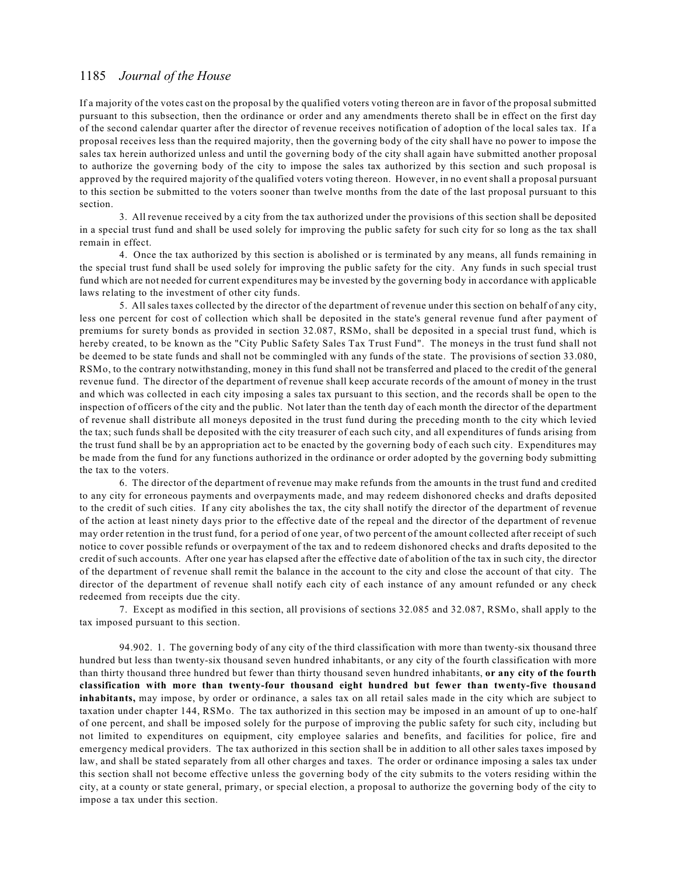If a majority of the votes cast on the proposal by the qualified voters voting thereon are in favor of the proposal submitted pursuant to this subsection, then the ordinance or order and any amendments thereto shall be in effect on the first day of the second calendar quarter after the director of revenue receives notification of adoption of the local sales tax. If a proposal receives less than the required majority, then the governing body of the city shall have no power to impose the sales tax herein authorized unless and until the governing body of the city shall again have submitted another proposal to authorize the governing body of the city to impose the sales tax authorized by this section and such proposal is approved by the required majority of the qualified voters voting thereon. However, in no event shall a proposal pursuant to this section be submitted to the voters sooner than twelve months from the date of the last proposal pursuant to this section.

3. All revenue received by a city from the tax authorized under the provisions of this section shall be deposited in a special trust fund and shall be used solely for improving the public safety for such city for so long as the tax shall remain in effect.

4. Once the tax authorized by this section is abolished or is terminated by any means, all funds remaining in the special trust fund shall be used solely for improving the public safety for the city. Any funds in such special trust fund which are not needed for current expenditures may be invested by the governing body in accordance with applicable laws relating to the investment of other city funds.

5. All sales taxes collected by the director of the department of revenue under this section on behalf of any city, less one percent for cost of collection which shall be deposited in the state's general revenue fund after payment of premiums for surety bonds as provided in section 32.087, RSMo, shall be deposited in a special trust fund, which is hereby created, to be known as the "City Public Safety Sales Tax Trust Fund". The moneys in the trust fund shall not be deemed to be state funds and shall not be commingled with any funds of the state. The provisions of section 33.080, RSMo, to the contrary notwithstanding, money in this fund shall not be transferred and placed to the credit of the general revenue fund. The director of the department of revenue shall keep accurate records of the amount of money in the trust and which was collected in each city imposing a sales tax pursuant to this section, and the records shall be open to the inspection of officers of the city and the public. Not later than the tenth day of each month the director of the department of revenue shall distribute all moneys deposited in the trust fund during the preceding month to the city which levied the tax; such funds shall be deposited with the city treasurer of each such city, and all expenditures of funds arising from the trust fund shall be by an appropriation act to be enacted by the governing body of each such city. Expenditures may be made from the fund for any functions authorized in the ordinance or order adopted by the governing body submitting the tax to the voters.

6. The director of the department of revenue may make refunds from the amounts in the trust fund and credited to any city for erroneous payments and overpayments made, and may redeem dishonored checks and drafts deposited to the credit of such cities. If any city abolishes the tax, the city shall notify the director of the department of revenue of the action at least ninety days prior to the effective date of the repeal and the director of the department of revenue may order retention in the trust fund, for a period of one year, of two percent of the amount collected after receipt of such notice to cover possible refunds or overpayment of the tax and to redeem dishonored checks and drafts deposited to the credit of such accounts. After one year has elapsed after the effective date of abolition of the tax in such city, the director of the department of revenue shall remit the balance in the account to the city and close the account of that city. The director of the department of revenue shall notify each city of each instance of any amount refunded or any check redeemed from receipts due the city.

7. Except as modified in this section, all provisions of sections 32.085 and 32.087, RSMo, shall apply to the tax imposed pursuant to this section.

94.902. 1. The governing body of any city of the third classification with more than twenty-six thousand three hundred but less than twenty-six thousand seven hundred inhabitants, or any city of the fourth classification with more than thirty thousand three hundred but fewer than thirty thousand seven hundred inhabitants, **or any city of the fourth classification with more than twenty-four thousand eight hundred but fewer than twenty-five thousand inhabitants,** may impose, by order or ordinance, a sales tax on all retail sales made in the city which are subject to taxation under chapter 144, RSMo. The tax authorized in this section may be imposed in an amount of up to one-half of one percent, and shall be imposed solely for the purpose of improving the public safety for such city, including but not limited to expenditures on equipment, city employee salaries and benefits, and facilities for police, fire and emergency medical providers. The tax authorized in this section shall be in addition to all other sales taxes imposed by law, and shall be stated separately from all other charges and taxes. The order or ordinance imposing a sales tax under this section shall not become effective unless the governing body of the city submits to the voters residing within the city, at a county or state general, primary, or special election, a proposal to authorize the governing body of the city to impose a tax under this section.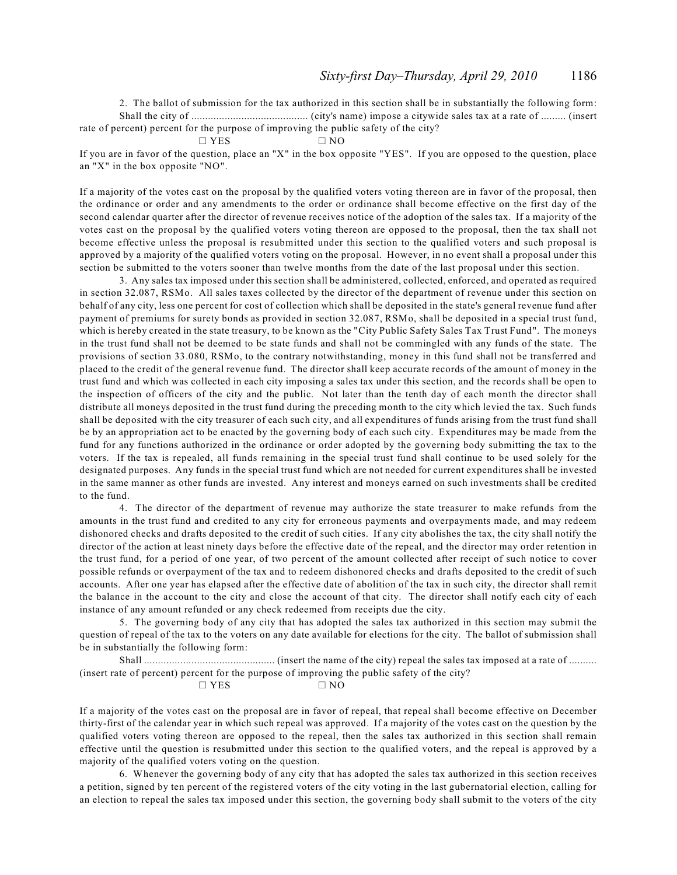2. The ballot of submission for the tax authorized in this section shall be in substantially the following form: Shall the city of .......................................... (city's name) impose a citywide sales tax at a rate of ......... (insert rate of percent) percent for the purpose of improving the public safety of the city?

$$
\Box \text{ } \text{YES} \qquad \Box \text{ } \text{NO}
$$

If you are in favor of the question, place an "X" in the box opposite "YES". If you are opposed to the question, place an "X" in the box opposite "NO".

If a majority of the votes cast on the proposal by the qualified voters voting thereon are in favor of the proposal, then the ordinance or order and any amendments to the order or ordinance shall become effective on the first day of the second calendar quarter after the director of revenue receives notice of the adoption of the sales tax. If a majority of the votes cast on the proposal by the qualified voters voting thereon are opposed to the proposal, then the tax shall not become effective unless the proposal is resubmitted under this section to the qualified voters and such proposal is approved by a majority of the qualified voters voting on the proposal. However, in no event shall a proposal under this section be submitted to the voters sooner than twelve months from the date of the last proposal under this section.

3. Any sales tax imposed under this section shall be administered, collected, enforced, and operated as required in section 32.087, RSMo. All sales taxes collected by the director of the department of revenue under this section on behalf of any city, less one percent for cost of collection which shall be deposited in the state's general revenue fund after payment of premiums for surety bonds as provided in section 32.087, RSMo, shall be deposited in a special trust fund, which is hereby created in the state treasury, to be known as the "City Public Safety Sales Tax Trust Fund". The moneys in the trust fund shall not be deemed to be state funds and shall not be commingled with any funds of the state. The provisions of section 33.080, RSMo, to the contrary notwithstanding, money in this fund shall not be transferred and placed to the credit of the general revenue fund. The director shall keep accurate records of the amount of money in the trust fund and which was collected in each city imposing a sales tax under this section, and the records shall be open to the inspection of officers of the city and the public. Not later than the tenth day of each month the director shall distribute all moneys deposited in the trust fund during the preceding month to the city which levied the tax. Such funds shall be deposited with the city treasurer of each such city, and all expenditures of funds arising from the trust fund shall be by an appropriation act to be enacted by the governing body of each such city. Expenditures may be made from the fund for any functions authorized in the ordinance or order adopted by the governing body submitting the tax to the voters. If the tax is repealed, all funds remaining in the special trust fund shall continue to be used solely for the designated purposes. Any funds in the special trust fund which are not needed for current expenditures shall be invested in the same manner as other funds are invested. Any interest and moneys earned on such investments shall be credited to the fund.

4. The director of the department of revenue may authorize the state treasurer to make refunds from the amounts in the trust fund and credited to any city for erroneous payments and overpayments made, and may redeem dishonored checks and drafts deposited to the credit of such cities. If any city abolishes the tax, the city shall notify the director of the action at least ninety days before the effective date of the repeal, and the director may order retention in the trust fund, for a period of one year, of two percent of the amount collected after receipt of such notice to cover possible refunds or overpayment of the tax and to redeem dishonored checks and drafts deposited to the credit of such accounts. After one year has elapsed after the effective date of abolition of the tax in such city, the director shall remit the balance in the account to the city and close the account of that city. The director shall notify each city of each instance of any amount refunded or any check redeemed from receipts due the city.

5. The governing body of any city that has adopted the sales tax authorized in this section may submit the question of repeal of the tax to the voters on any date available for elections for the city. The ballot of submission shall be in substantially the following form:

Shall ............................................... (insert the name of the city) repeal the sales tax imposed at a rate of .......... (insert rate of percent) percent for the purpose of improving the public safety of the city?  $\Box$  YES  $\Box$  NO

If a majority of the votes cast on the proposal are in favor of repeal, that repeal shall become effective on December thirty-first of the calendar year in which such repeal was approved. If a majority of the votes cast on the question by the qualified voters voting thereon are opposed to the repeal, then the sales tax authorized in this section shall remain effective until the question is resubmitted under this section to the qualified voters, and the repeal is approved by a majority of the qualified voters voting on the question.

6. Whenever the governing body of any city that has adopted the sales tax authorized in this section receives a petition, signed by ten percent of the registered voters of the city voting in the last gubernatorial election, calling for an election to repeal the sales tax imposed under this section, the governing body shall submit to the voters of the city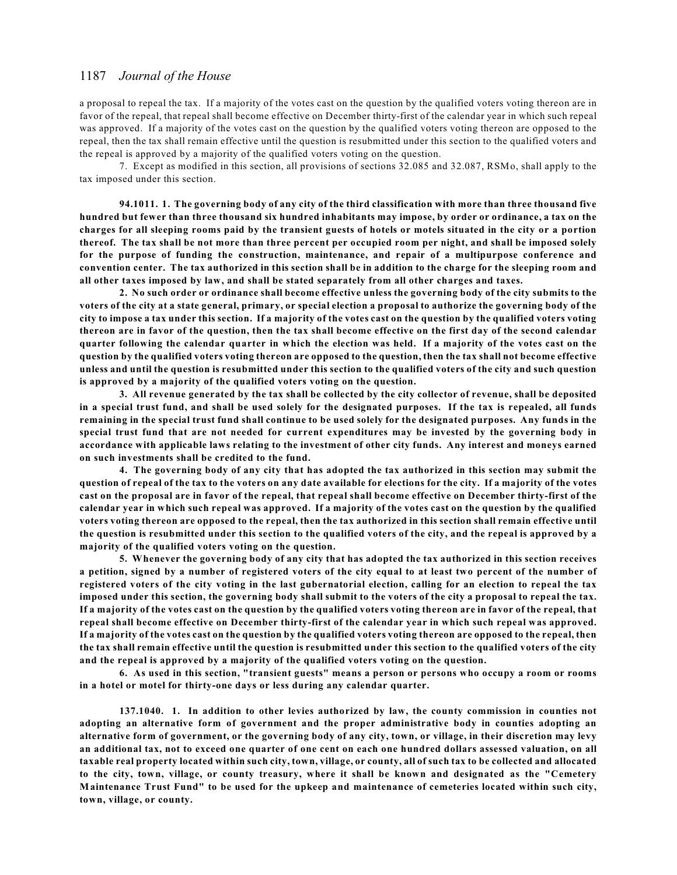a proposal to repeal the tax. If a majority of the votes cast on the question by the qualified voters voting thereon are in favor of the repeal, that repeal shall become effective on December thirty-first of the calendar year in which such repeal was approved. If a majority of the votes cast on the question by the qualified voters voting thereon are opposed to the repeal, then the tax shall remain effective until the question is resubmitted under this section to the qualified voters and the repeal is approved by a majority of the qualified voters voting on the question.

7. Except as modified in this section, all provisions of sections 32.085 and 32.087, RSMo, shall apply to the tax imposed under this section.

**94.1011. 1. The governing body of any city of the third classification with more than three thousand five hundred but fewer than three thousand six hundred inhabitants may impose, by order or ordinance, a tax on the charges for all sleeping rooms paid by the transient guests of hotels or motels situated in the city or a portion thereof. The tax shall be not more than three percent per occupied room per night, and shall be imposed solely for the purpose of funding the construction, maintenance, and repair of a multipurpose conference and convention center. The tax authorized in this section shall be in addition to the charge for the sleeping room and all other taxes imposed by law, and shall be stated separately from all other charges and taxes.**

**2. No such order or ordinance shall become effective unless the governing body of the city submits to the voters of the city at a state general, primary, or special election a proposal to authorize the governing body of the city to impose a tax under this section. If a majority of the votes cast on the question by the qualified voters voting thereon are in favor of the question, then the tax shall become effective on the first day of the second calendar quarter following the calendar quarter in which the election was held. If a majority of the votes cast on the question by the qualified voters voting thereon are opposed to the question, then the tax shall not become effective unless and until the question is resubmitted under this section to the qualified voters of the city and such question is approved by a majority of the qualified voters voting on the question.**

**3. All revenue generated by the tax shall be collected by the city collector of revenue, shall be deposited in a special trust fund, and shall be used solely for the designated purposes. If the tax is repealed, all funds remaining in the special trust fund shall continue to be used solely for the designated purposes. Any funds in the special trust fund that are not needed for current expenditures may be invested by the governing body in accordance with applicable laws relating to the investment of other city funds. Any interest and moneys earned on such investments shall be credited to the fund.**

**4. The governing body of any city that has adopted the tax authorized in this section may submit the question of repeal of the tax to the voters on any date available for elections for the city. If a majority of the votes cast on the proposal are in favor of the repeal, that repeal shall become effective on December thirty-first of the calendar year in which such repeal was approved. If a majority of the votes cast on the question by the qualified voters voting thereon are opposed to the repeal, then the tax authorized in this section shall remain effective until the question is resubmitted under this section to the qualified voters of the city, and the repeal is approved by a majority of the qualified voters voting on the question.**

**5. Whenever the governing body of any city that has adopted the tax authorized in this section receives a petition, signed by a number of registered voters of the city equal to at least two percent of the number of registered voters of the city voting in the last gubernatorial election, calling for an election to repeal the tax imposed under this section, the governing body shall submit to the voters of the city a proposal to repeal the tax. If a majority of the votes cast on the question by the qualified voters voting thereon are in favor of the repeal, that repeal shall become effective on December thirty-first of the calendar year in which such repeal was approved. If a majority of the votes cast on the question by the qualified voters voting thereon are opposed to the repeal, then the tax shall remain effective until the question is resubmitted under this section to the qualified voters of the city and the repeal is approved by a majority of the qualified voters voting on the question.**

**6. As used in this section, "transient guests" means a person or persons who occupy a room or rooms in a hotel or motel for thirty-one days or less during any calendar quarter.**

**137.1040. 1. In addition to other levies authorized by law, the county commission in counties not adopting an alternative form of government and the proper administrative body in counties adopting an alternative form of government, or the governing body of any city, town, or village, in their discretion may levy an additional tax, not to exceed one quarter of one cent on each one hundred dollars assessed valuation, on all taxable real property located within such city, town, village, or county, all of such tax to be collected and allocated to the city, town, village, or county treasury, where it shall be known and designated as the "Cemetery Maintenance Trust Fund" to be used for the upkeep and maintenance of cemeteries located within such city, town, village, or county.**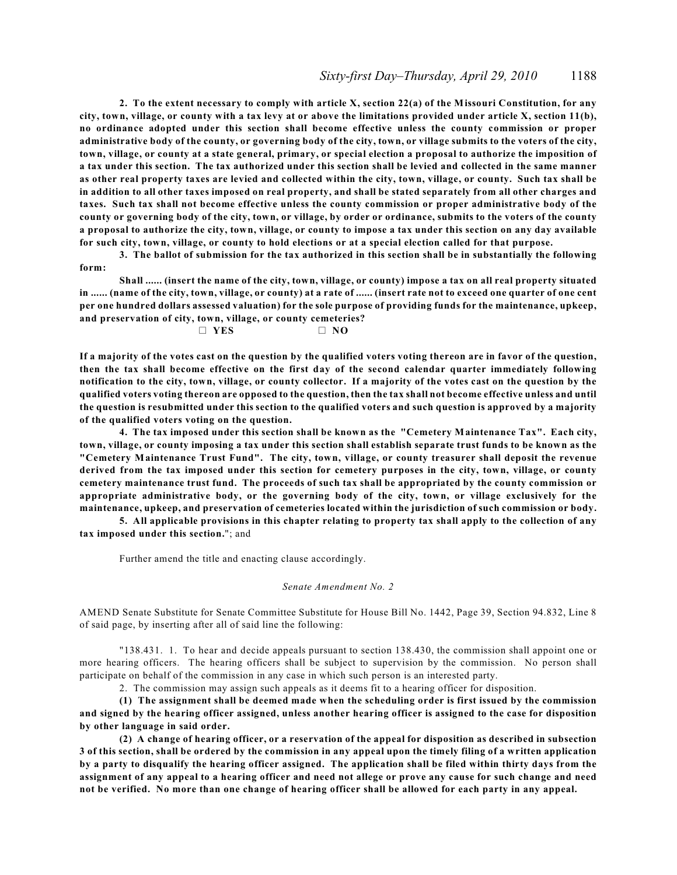**2. To the extent necessary to comply with article X, section 22(a) of the Missouri Constitution, for any city, town, village, or county with a tax levy at or above the limitations provided under article X, section 11(b), no ordinance adopted under this section shall become effective unless the county commission or proper administrative body of the county, or governing body of the city, town, or village submits to the voters of the city, town, village, or county at a state general, primary, or special election a proposal to authorize the imposition of a tax under this section. The tax authorized under this section shall be levied and collected in the same manner as other real property taxes are levied and collected within the city, town, village, or county. Such tax shall be in addition to all other taxes imposed on real property, and shall be stated separately from all other charges and taxes. Such tax shall not become effective unless the county commission or proper administrative body of the county or governing body of the city, town, or village, by order or ordinance, submits to the voters of the county a proposal to authorize the city, town, village, or county to impose a tax under this section on any day available for such city, town, village, or county to hold elections or at a special election called for that purpose.**

**3. The ballot of submission for the tax authorized in this section shall be in substantially the following form:**

**Shall ...... (insert the name of the city, town, village, or county) impose a tax on all real property situated** in ...... (name of the city, town, village, or county) at a rate of ...... (insert rate not to exceed one quarter of one cent **per one hundred dollars assessed valuation) for the sole purpose of providing funds for the maintenance, upkeep, and preservation of city, town, village, or county cemeteries?**

 $\Box$  YES  $\Box$  NO

**If a majority of the votes cast on the question by the qualified voters voting thereon are in favor of the question, then the tax shall become effective on the first day of the second calendar quarter immediately following notification to the city, town, village, or county collector. If a majority of the votes cast on the question by the qualified voters voting thereon are opposed to the question, then the tax shall not become effective unless and until the question is resubmitted under this section to the qualified voters and such question is approved by a majority of the qualified voters voting on the question.**

**4. The tax imposed under this section shall be known as the "Cemetery Maintenance Tax". Each city, town, village, or county imposing a tax under this section shall establish separate trust funds to be known as the "Cemetery Maintenance Trust Fund". The city, town, village, or county treasurer shall deposit the revenue derived from the tax imposed under this section for cemetery purposes in the city, town, village, or county cemetery maintenance trust fund. The proceeds of such tax shall be appropriated by the county commission or appropriate administrative body, or the governing body of the city, town, or village exclusively for the maintenance, upkeep, and preservation of cemeteries located within the jurisdiction of such commission or body.**

**5. All applicable provisions in this chapter relating to property tax shall apply to the collection of any tax imposed under this section.**"; and

Further amend the title and enacting clause accordingly.

#### *Senate Amendment No. 2*

AMEND Senate Substitute for Senate Committee Substitute for House Bill No. 1442, Page 39, Section 94.832, Line 8 of said page, by inserting after all of said line the following:

"138.431. 1. To hear and decide appeals pursuant to section 138.430, the commission shall appoint one or more hearing officers. The hearing officers shall be subject to supervision by the commission. No person shall participate on behalf of the commission in any case in which such person is an interested party.

2. The commission may assign such appeals as it deems fit to a hearing officer for disposition.

**(1) The assignment shall be deemed made when the scheduling order is first issued by the commission and signed by the hearing officer assigned, unless another hearing officer is assigned to the case for disposition by other language in said order.**

**(2) A change of hearing officer, or a reservation of the appeal for disposition as described in subsection 3 of this section, shall be ordered by the commission in any appeal upon the timely filing of a written application by a party to disqualify the hearing officer assigned. The application shall be filed within thirty days from the assignment of any appeal to a hearing officer and need not allege or prove any cause for such change and need not be verified. No more than one change of hearing officer shall be allowed for each party in any appeal.**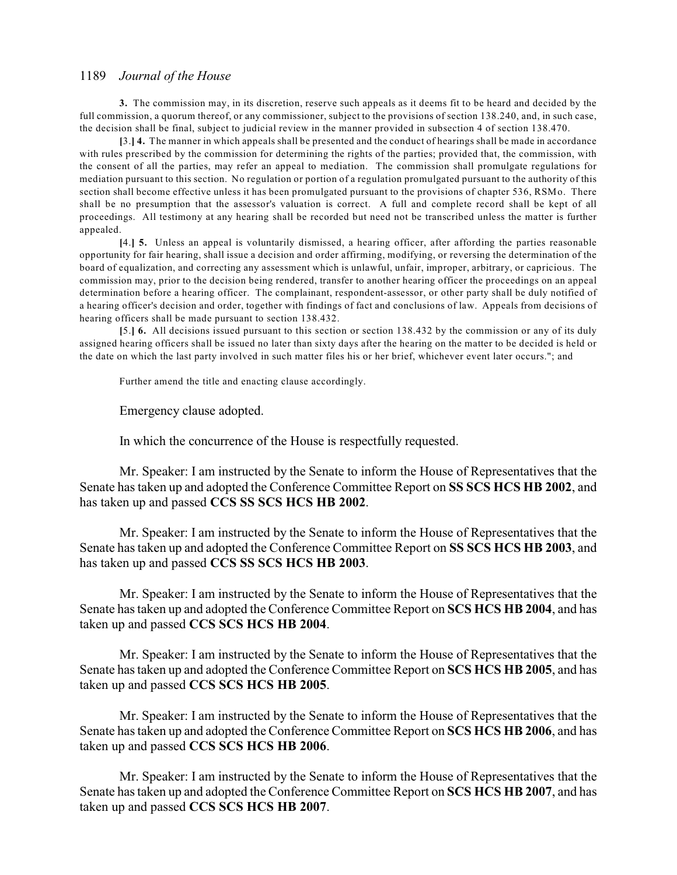**3.** The commission may, in its discretion, reserve such appeals as it deems fit to be heard and decided by the full commission, a quorum thereof, or any commissioner, subject to the provisions of section 138.240, and, in such case, the decision shall be final, subject to judicial review in the manner provided in subsection 4 of section 138.470.

**[**3.**] 4.** The manner in which appeals shall be presented and the conduct of hearings shall be made in accordance with rules prescribed by the commission for determining the rights of the parties; provided that, the commission, with the consent of all the parties, may refer an appeal to mediation. The commission shall promulgate regulations for mediation pursuant to this section. No regulation or portion of a regulation promulgated pursuant to the authority of this section shall become effective unless it has been promulgated pursuant to the provisions of chapter 536, RSMo. There shall be no presumption that the assessor's valuation is correct. A full and complete record shall be kept of all proceedings. All testimony at any hearing shall be recorded but need not be transcribed unless the matter is further appealed.

**[**4.**] 5.** Unless an appeal is voluntarily dismissed, a hearing officer, after affording the parties reasonable opportunity for fair hearing, shall issue a decision and order affirming, modifying, or reversing the determination of the board of equalization, and correcting any assessment which is unlawful, unfair, improper, arbitrary, or capricious. The commission may, prior to the decision being rendered, transfer to another hearing officer the proceedings on an appeal determination before a hearing officer. The complainant, respondent-assessor, or other party shall be duly notified of a hearing officer's decision and order, together with findings of fact and conclusions of law. Appeals from decisions of hearing officers shall be made pursuant to section 138.432.

**[**5.**] 6.** All decisions issued pursuant to this section or section 138.432 by the commission or any of its duly assigned hearing officers shall be issued no later than sixty days after the hearing on the matter to be decided is held or the date on which the last party involved in such matter files his or her brief, whichever event later occurs."; and

Further amend the title and enacting clause accordingly.

Emergency clause adopted.

In which the concurrence of the House is respectfully requested.

Mr. Speaker: I am instructed by the Senate to inform the House of Representatives that the Senate has taken up and adopted the Conference Committee Report on **SS SCS HCS HB 2002**, and has taken up and passed **CCS SS SCS HCS HB 2002**.

Mr. Speaker: I am instructed by the Senate to inform the House of Representatives that the Senate has taken up and adopted the Conference Committee Report on **SS SCS HCS HB 2003**, and has taken up and passed **CCS SS SCS HCS HB 2003**.

Mr. Speaker: I am instructed by the Senate to inform the House of Representatives that the Senate has taken up and adopted the Conference Committee Report on **SCS HCS HB 2004**, and has taken up and passed **CCS SCS HCS HB 2004**.

Mr. Speaker: I am instructed by the Senate to inform the House of Representatives that the Senate has taken up and adopted the Conference Committee Report on **SCS HCS HB 2005**, and has taken up and passed **CCS SCS HCS HB 2005**.

Mr. Speaker: I am instructed by the Senate to inform the House of Representatives that the Senate has taken up and adopted the Conference Committee Report on **SCS HCS HB 2006**, and has taken up and passed **CCS SCS HCS HB 2006**.

Mr. Speaker: I am instructed by the Senate to inform the House of Representatives that the Senate has taken up and adopted the Conference Committee Report on **SCS HCS HB 2007**, and has taken up and passed **CCS SCS HCS HB 2007**.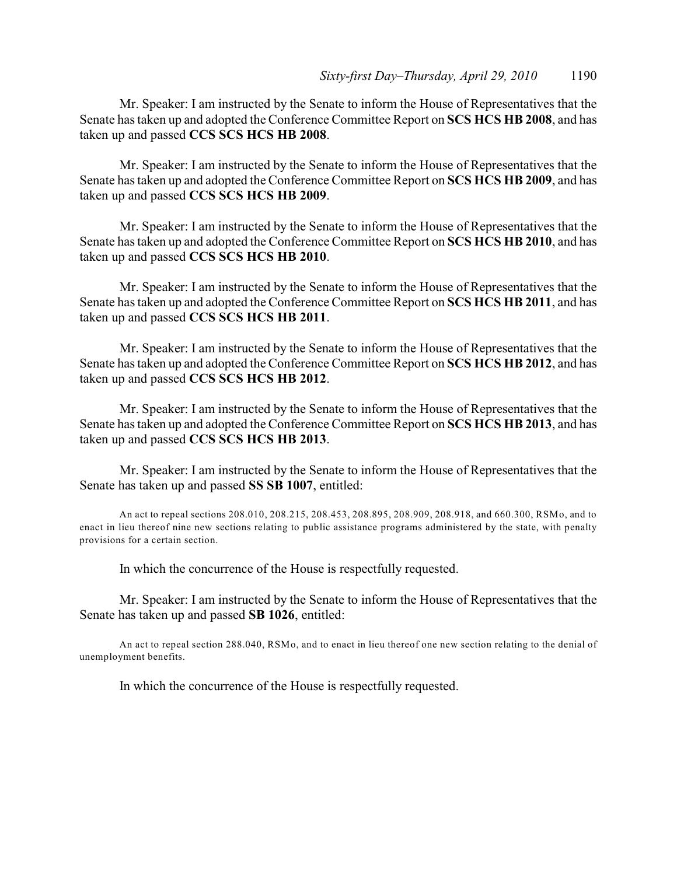Mr. Speaker: I am instructed by the Senate to inform the House of Representatives that the Senate has taken up and adopted the Conference Committee Report on **SCS HCS HB 2008**, and has taken up and passed **CCS SCS HCS HB 2008**.

Mr. Speaker: I am instructed by the Senate to inform the House of Representatives that the Senate has taken up and adopted the Conference Committee Report on **SCS HCS HB 2009**, and has taken up and passed **CCS SCS HCS HB 2009**.

Mr. Speaker: I am instructed by the Senate to inform the House of Representatives that the Senate has taken up and adopted the Conference Committee Report on **SCS HCS HB 2010**, and has taken up and passed **CCS SCS HCS HB 2010**.

Mr. Speaker: I am instructed by the Senate to inform the House of Representatives that the Senate has taken up and adopted the Conference Committee Report on **SCS HCS HB 2011**, and has taken up and passed **CCS SCS HCS HB 2011**.

Mr. Speaker: I am instructed by the Senate to inform the House of Representatives that the Senate has taken up and adopted the Conference Committee Report on **SCS HCS HB 2012**, and has taken up and passed **CCS SCS HCS HB 2012**.

Mr. Speaker: I am instructed by the Senate to inform the House of Representatives that the Senate has taken up and adopted the Conference Committee Report on **SCS HCS HB 2013**, and has taken up and passed **CCS SCS HCS HB 2013**.

Mr. Speaker: I am instructed by the Senate to inform the House of Representatives that the Senate has taken up and passed **SS SB 1007**, entitled:

An act to repeal sections 208.010, 208.215, 208.453, 208.895, 208.909, 208.918, and 660.300, RSMo, and to enact in lieu thereof nine new sections relating to public assistance programs administered by the state, with penalty provisions for a certain section.

In which the concurrence of the House is respectfully requested.

Mr. Speaker: I am instructed by the Senate to inform the House of Representatives that the Senate has taken up and passed **SB 1026**, entitled:

An act to repeal section 288.040, RSMo, and to enact in lieu thereof one new section relating to the denial of unemployment benefits.

In which the concurrence of the House is respectfully requested.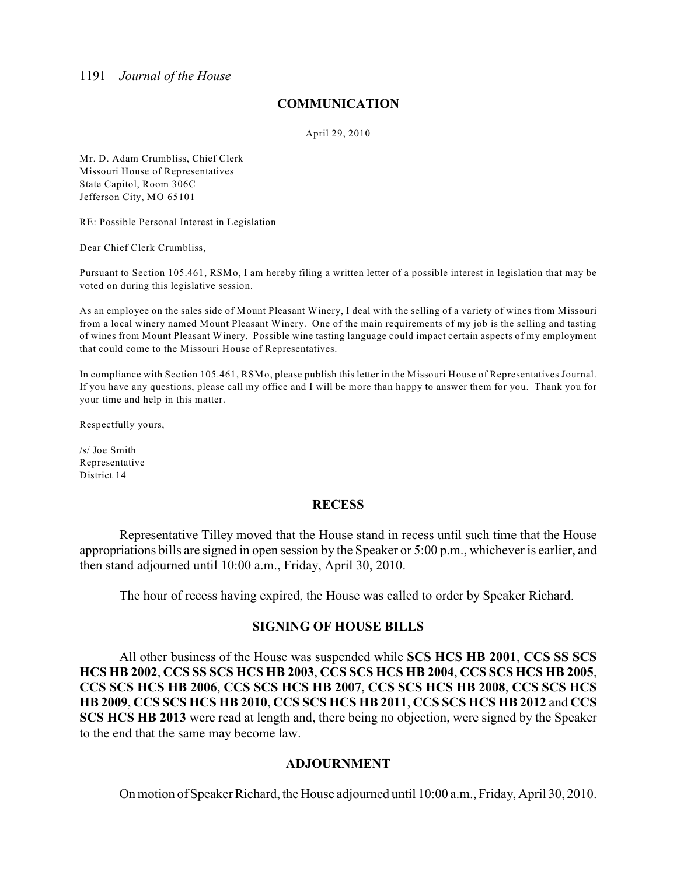## **COMMUNICATION**

April 29, 2010

Mr. D. Adam Crumbliss, Chief Clerk Missouri House of Representatives State Capitol, Room 306C Jefferson City, MO 65101

RE: Possible Personal Interest in Legislation

Dear Chief Clerk Crumbliss,

Pursuant to Section 105.461, RSMo, I am hereby filing a written letter of a possible interest in legislation that may be voted on during this legislative session.

As an employee on the sales side of Mount Pleasant Winery, I deal with the selling of a variety of wines from Missouri from a local winery named Mount Pleasant Winery. One of the main requirements of my job is the selling and tasting of wines from Mount Pleasant Winery. Possible wine tasting language could impact certain aspects of my employment that could come to the Missouri House of Representatives.

In compliance with Section 105.461, RSMo, please publish this letter in the Missouri House of Representatives Journal. If you have any questions, please call my office and I will be more than happy to answer them for you. Thank you for your time and help in this matter.

Respectfully yours,

/s/ Joe Smith Representative District 14

### **RECESS**

Representative Tilley moved that the House stand in recess until such time that the House appropriations bills are signed in open session by the Speaker or 5:00 p.m., whichever is earlier, and then stand adjourned until 10:00 a.m., Friday, April 30, 2010.

The hour of recess having expired, the House was called to order by Speaker Richard.

## **SIGNING OF HOUSE BILLS**

All other business of the House was suspended while **SCS HCS HB 2001**, **CCS SS SCS HCS HB 2002**, **CCS SS SCS HCS HB 2003**, **CCS SCS HCS HB 2004**, **CCS SCS HCS HB 2005**, **CCS SCS HCS HB 2006**, **CCS SCS HCS HB 2007**, **CCS SCS HCS HB 2008**, **CCS SCS HCS HB 2009**, **CCS SCS HCS HB 2010**, **CCS SCS HCS HB 2011**, **CCS SCS HCS HB 2012** and **CCS SCS HCS HB 2013** were read at length and, there being no objection, were signed by the Speaker to the end that the same may become law.

### **ADJOURNMENT**

On motion of Speaker Richard, the House adjourned until 10:00 a.m., Friday, April 30, 2010.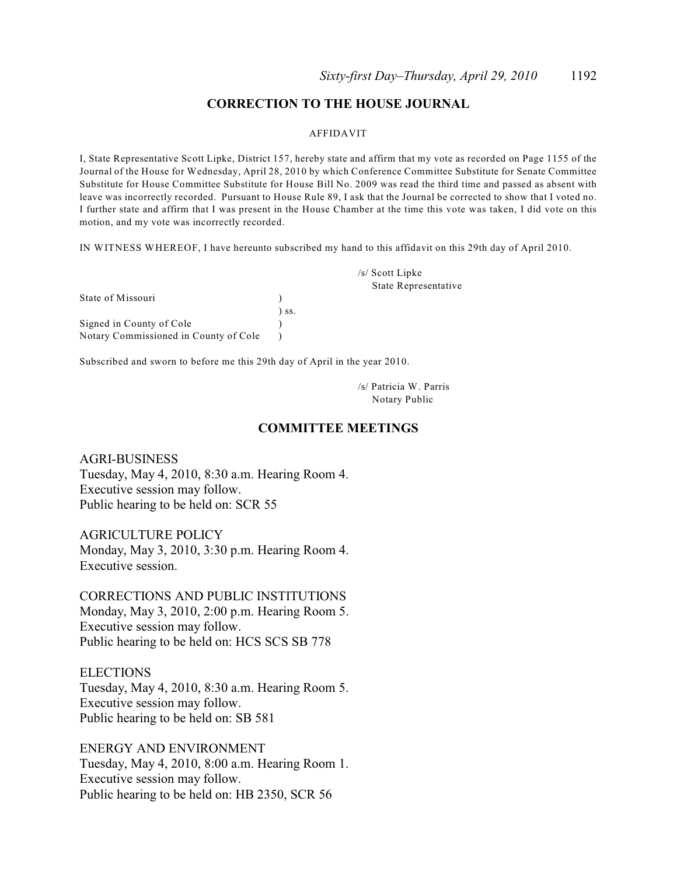## **CORRECTION TO THE HOUSE JOURNAL**

#### AFFIDAVIT

I, State Representative Scott Lipke, District 157, hereby state and affirm that my vote as recorded on Page 1155 of the Journal of the House for Wednesday, April 28, 2010 by which Conference Committee Substitute for Senate Committee Substitute for House Committee Substitute for House Bill No. 2009 was read the third time and passed as absent with leave was incorrectly recorded. Pursuant to House Rule 89, I ask that the Journal be corrected to show that I voted no. I further state and affirm that I was present in the House Chamber at the time this vote was taken, I did vote on this motion, and my vote was incorrectly recorded.

IN WITNESS WHEREOF, I have hereunto subscribed my hand to this affidavit on this 29th day of April 2010.

|                                       |     | /s/ Scott Lipke             |
|---------------------------------------|-----|-----------------------------|
|                                       |     | <b>State Representative</b> |
| State of Missouri                     |     |                             |
|                                       | SS. |                             |
| Signed in County of Cole              |     |                             |
| Notary Commissioned in County of Cole |     |                             |

Subscribed and sworn to before me this 29th day of April in the year 2010.

/s/ Patricia W. Parris Notary Public

### **COMMITTEE MEETINGS**

AGRI-BUSINESS Tuesday, May 4, 2010, 8:30 a.m. Hearing Room 4. Executive session may follow. Public hearing to be held on: SCR 55

AGRICULTURE POLICY Monday, May 3, 2010, 3:30 p.m. Hearing Room 4. Executive session.

CORRECTIONS AND PUBLIC INSTITUTIONS Monday, May 3, 2010, 2:00 p.m. Hearing Room 5. Executive session may follow. Public hearing to be held on: HCS SCS SB 778

**ELECTIONS** Tuesday, May 4, 2010, 8:30 a.m. Hearing Room 5. Executive session may follow. Public hearing to be held on: SB 581

ENERGY AND ENVIRONMENT Tuesday, May 4, 2010, 8:00 a.m. Hearing Room 1. Executive session may follow. Public hearing to be held on: HB 2350, SCR 56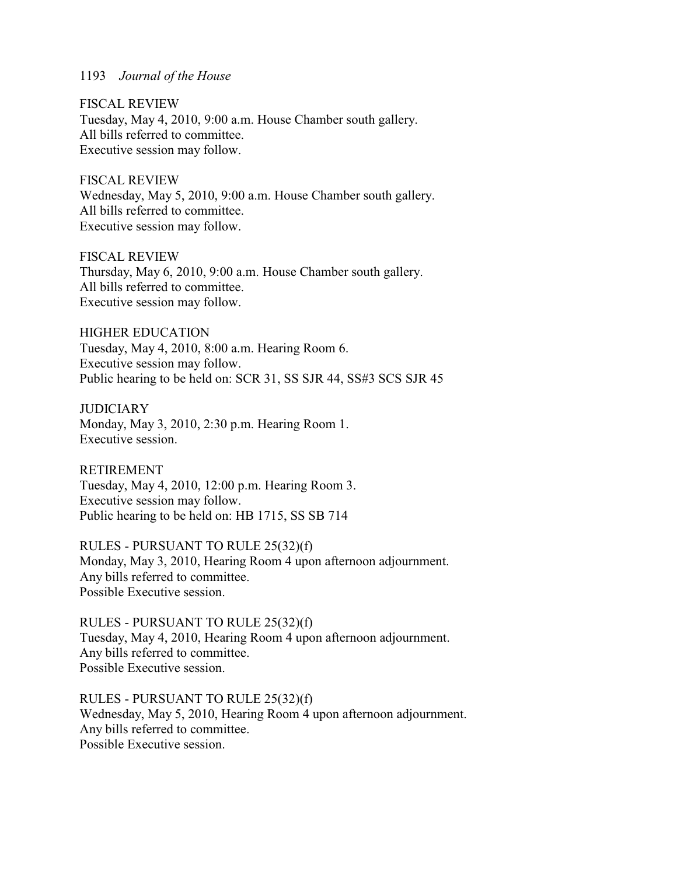FISCAL REVIEW Tuesday, May 4, 2010, 9:00 a.m. House Chamber south gallery. All bills referred to committee. Executive session may follow.

FISCAL REVIEW Wednesday, May 5, 2010, 9:00 a.m. House Chamber south gallery. All bills referred to committee. Executive session may follow.

FISCAL REVIEW Thursday, May 6, 2010, 9:00 a.m. House Chamber south gallery. All bills referred to committee. Executive session may follow.

HIGHER EDUCATION Tuesday, May 4, 2010, 8:00 a.m. Hearing Room 6. Executive session may follow. Public hearing to be held on: SCR 31, SS SJR 44, SS#3 SCS SJR 45

**JUDICIARY** Monday, May 3, 2010, 2:30 p.m. Hearing Room 1. Executive session.

RETIREMENT Tuesday, May 4, 2010, 12:00 p.m. Hearing Room 3. Executive session may follow. Public hearing to be held on: HB 1715, SS SB 714

RULES - PURSUANT TO RULE 25(32)(f) Monday, May 3, 2010, Hearing Room 4 upon afternoon adjournment. Any bills referred to committee. Possible Executive session.

RULES - PURSUANT TO RULE 25(32)(f) Tuesday, May 4, 2010, Hearing Room 4 upon afternoon adjournment. Any bills referred to committee. Possible Executive session.

RULES - PURSUANT TO RULE 25(32)(f) Wednesday, May 5, 2010, Hearing Room 4 upon afternoon adjournment. Any bills referred to committee. Possible Executive session.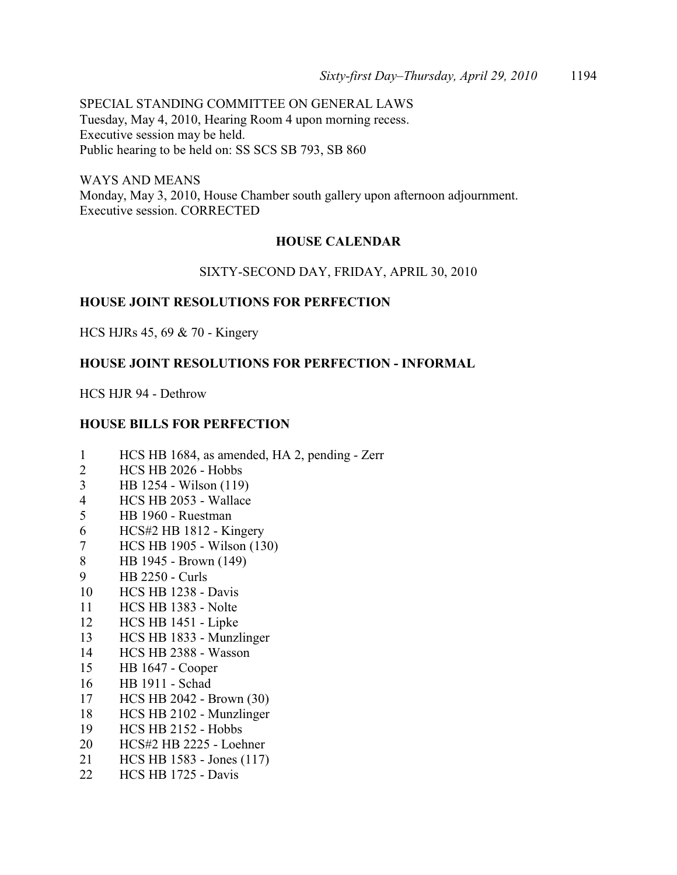SPECIAL STANDING COMMITTEE ON GENERAL LAWS Tuesday, May 4, 2010, Hearing Room 4 upon morning recess. Executive session may be held. Public hearing to be held on: SS SCS SB 793, SB 860

WAYS AND MEANS Monday, May 3, 2010, House Chamber south gallery upon afternoon adjournment. Executive session. CORRECTED

## **HOUSE CALENDAR**

### SIXTY-SECOND DAY, FRIDAY, APRIL 30, 2010

### **HOUSE JOINT RESOLUTIONS FOR PERFECTION**

HCS HJRs 45, 69 & 70 - Kingery

### **HOUSE JOINT RESOLUTIONS FOR PERFECTION - INFORMAL**

HCS HJR 94 - Dethrow

### **HOUSE BILLS FOR PERFECTION**

- 1 HCS HB 1684, as amended, HA 2, pending Zerr
- 2 HCS HB 2026 Hobbs
- 3 HB 1254 Wilson (119)
- 4 HCS HB 2053 Wallace
- 5 HB 1960 Ruestman
- 6 HCS#2 HB 1812 Kingery
- 7 HCS HB 1905 Wilson (130)
- 8 HB 1945 Brown (149)
- 9 HB 2250 Curls
- 10 HCS HB 1238 Davis
- 11 HCS HB 1383 Nolte
- 12 HCS HB 1451 Lipke
- 13 HCS HB 1833 Munzlinger
- 14 HCS HB 2388 Wasson
- 15 HB 1647 Cooper
- 16 HB 1911 Schad
- 17 HCS HB 2042 Brown (30)
- 18 HCS HB 2102 Munzlinger
- 19 HCS HB 2152 Hobbs
- 20 HCS#2 HB 2225 Loehner
- 21 HCS HB 1583 Jones (117)
- 22 HCS HB 1725 Davis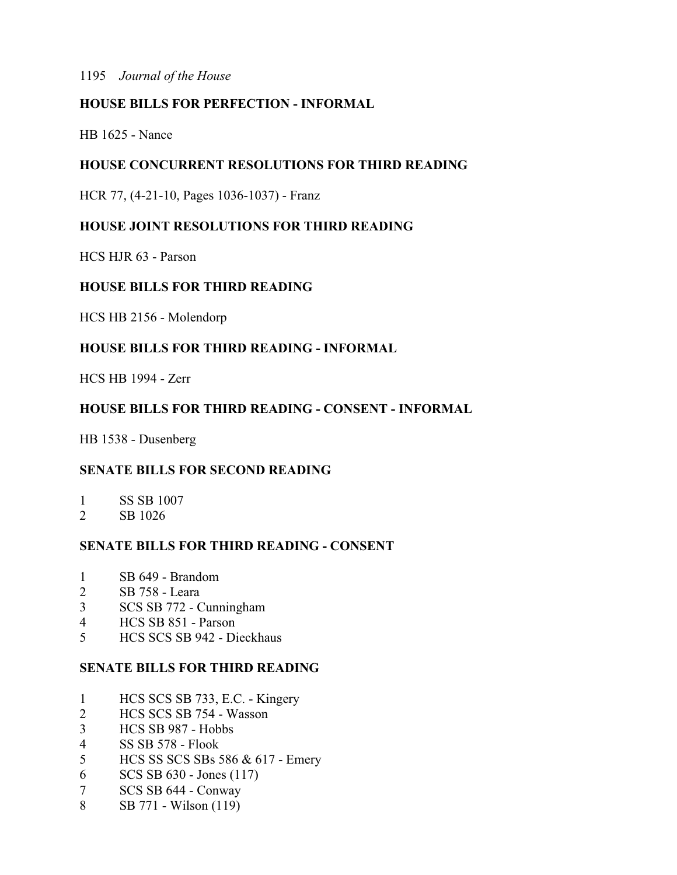## **HOUSE BILLS FOR PERFECTION - INFORMAL**

HB 1625 - Nance

## **HOUSE CONCURRENT RESOLUTIONS FOR THIRD READING**

HCR 77, (4-21-10, Pages 1036-1037) - Franz

## **HOUSE JOINT RESOLUTIONS FOR THIRD READING**

HCS HJR 63 - Parson

## **HOUSE BILLS FOR THIRD READING**

HCS HB 2156 - Molendorp

## **HOUSE BILLS FOR THIRD READING - INFORMAL**

HCS HB 1994 - Zerr

## **HOUSE BILLS FOR THIRD READING - CONSENT - INFORMAL**

HB 1538 - Dusenberg

## **SENATE BILLS FOR SECOND READING**

- 1 SS SB 1007
- 2 SB 1026

## **SENATE BILLS FOR THIRD READING - CONSENT**

- 1 SB 649 Brandom
- 2 SB 758 Leara
- 3 SCS SB 772 Cunningham
- 4 HCS SB 851 Parson
- 5 HCS SCS SB 942 Dieckhaus

## **SENATE BILLS FOR THIRD READING**

- 1 HCS SCS SB 733, E.C. Kingery
- 2 HCS SCS SB 754 Wasson
- 3 HCS SB 987 Hobbs
- 4 SS SB 578 Flook
- 5 HCS SS SCS SBs 586 & 617 Emery
- 6 SCS SB 630 Jones (117)
- 7 SCS SB 644 Conway
- 8 SB 771 Wilson (119)